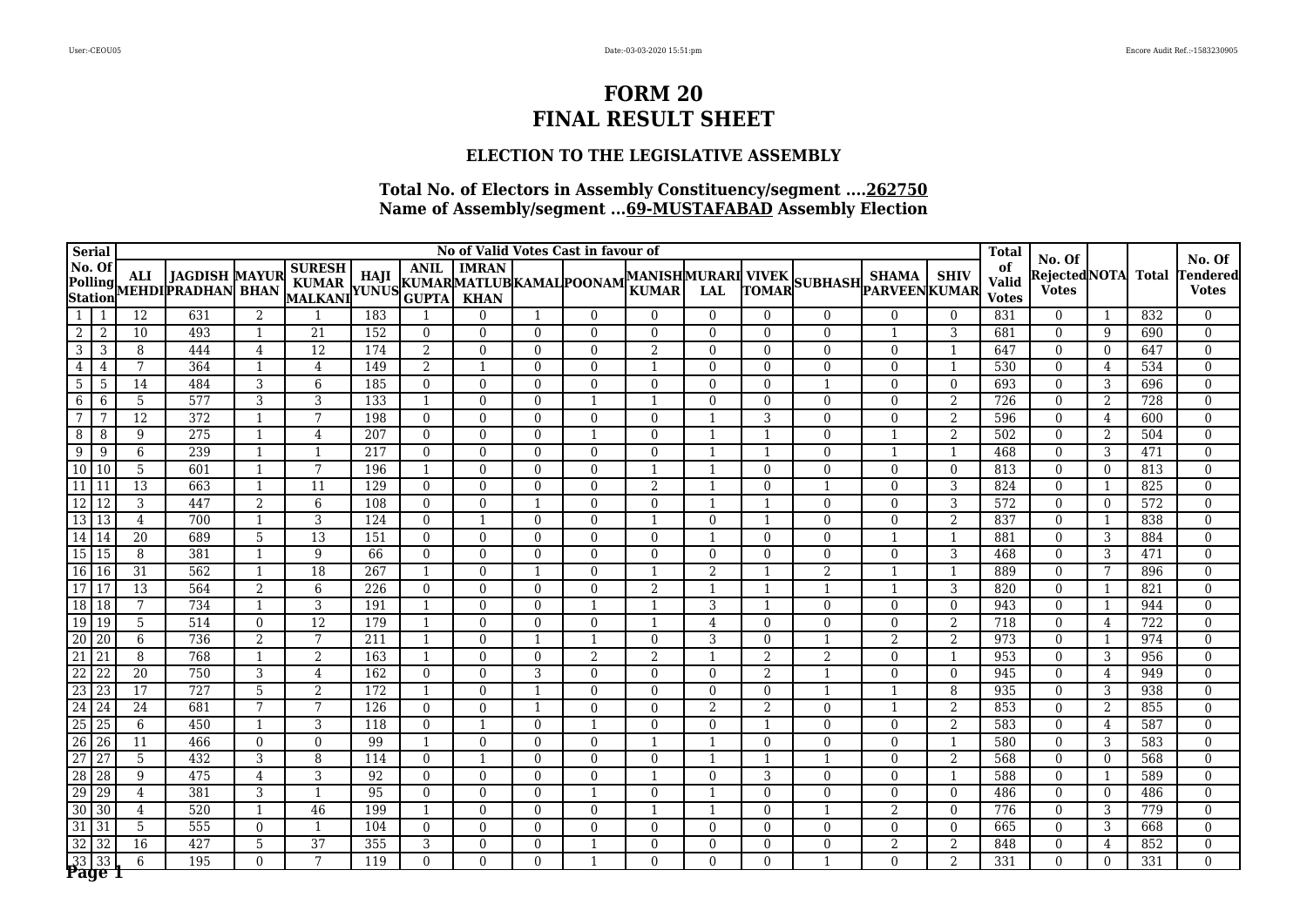### **ELECTION TO THE LEGISLATIVE ASSEMBLY**

| <b>Serial</b>             |                                 |                 |                                                    |                |                                                     |                  |                |                |                | No of Valid Votes Cast in favour of |                                    |                |                          |                       |                |                | <b>Total</b>                       | No. Of                        |                |              | No. Of                   |
|---------------------------|---------------------------------|-----------------|----------------------------------------------------|----------------|-----------------------------------------------------|------------------|----------------|----------------|----------------|-------------------------------------|------------------------------------|----------------|--------------------------|-----------------------|----------------|----------------|------------------------------------|-------------------------------|----------------|--------------|--------------------------|
| No. Of                    |                                 | <b>ALI</b>      | <b>JAGDISH MAYUR</b><br>Polling MEHDI PRADHAN BHAN |                | <b>SURESH</b><br>KUMAR HAJI KUMARMATLUBKAMAL POONAM |                  | <b>ANIL</b>    | <b>IMRAN</b>   |                |                                     | MANISHMURARI VIVEK<br><b>KUMAR</b> | <b>LAL</b>     | TOMAR                    | SUBHASH PARVEEN KUMAR | <b>SHAMA</b>   | <b>SHIV</b>    | of<br><b>Valid</b><br><b>Votes</b> | Rejected NOTA<br><b>Votes</b> |                | <b>Total</b> | Tendered<br><b>Votes</b> |
| 1                         | -1                              | 12              | 631                                                | 2              |                                                     | 183              |                | $\Omega$       | -1             | $\Omega$                            | $\Omega$                           | $\theta$       | $\Omega$                 | $\mathbf{0}$          | $\mathbf{0}$   | $\overline{0}$ | 831                                | $\overline{0}$                | 1              | 832          | $\mathbf{0}$             |
| 2                         | -2                              | 10              | 493                                                | $\mathbf{1}$   | 21                                                  | 152              | $\Omega$       | $\Omega$       | $\Omega$       | $\Omega$                            | $\Omega$                           | $\Omega$       | $\Omega$                 | $\Omega$              | -1             | 3              | 681                                | $\theta$                      | 9              | 690          | $\Omega$                 |
| $\overline{3}$            | -3                              | 8               | 444                                                | $\overline{4}$ | $\overline{12}$                                     | 174              | 2              | $\overline{0}$ | $\Omega$       | $\Omega$                            | $\overline{2}$                     | $\Omega$       | $\mathbf{0}$             | $\mathbf{0}$          | $\Omega$       | $\mathbf{1}$   | 647                                | $\Omega$                      | $\overline{0}$ | 647          | $\Omega$                 |
| $\overline{4}$            | 4                               | 7               | 364                                                | $\mathbf{1}$   | $\overline{4}$                                      | 149              | $\overline{2}$ | $\mathbf{1}$   | $\Omega$       | $\mathbf{0}$                        |                                    | $\Omega$       | $\overline{0}$           | $\mathbf{0}$          | $\mathbf{0}$   | $\mathbf{1}$   | 530                                | $\mathbf{0}$                  | $\overline{4}$ | 534          | $\Omega$                 |
| $5\phantom{.0}$           | -5                              | 14              | 484                                                | 3              | 6                                                   | 185              | $\theta$       | $\Omega$       | $\Omega$       | $\Omega$                            | $\Omega$                           | $\Omega$       | $\Omega$                 |                       | $\Omega$       | $\Omega$       | 693                                | $\Omega$                      | 3              | 696          | $\Omega$                 |
| $6\overline{6}$           | 6                               | 5               | 577                                                | 3              | 3                                                   | 133              |                | $\Omega$       | $\Omega$       |                                     |                                    | $\Omega$       | $\overline{0}$           | $\mathbf{0}$          | $\mathbf{0}$   | $\overline{2}$ | 726                                | $\mathbf{0}$                  | $\overline{2}$ | 728          | $\Omega$                 |
| 7                         | 7                               | 12              | $\overline{372}$                                   | $\mathbf{1}$   | 7                                                   | 198              | $\Omega$       | $\Omega$       | $\Omega$       | $\Omega$                            | $\Omega$                           |                | 3                        | $\Omega$              | $\Omega$       | 2              | 596                                | $\Omega$                      | $\overline{4}$ | 600          | $\Omega$                 |
| 8                         | -8                              | 9               | 275                                                | $\mathbf{1}$   | $\overline{4}$                                      | 207              | $\Omega$       | $\Omega$       | $\Omega$       |                                     | $\Omega$                           |                |                          | $\Omega$              |                | 2              | 502                                | $\Omega$                      | 2              | 504          | $\Omega$                 |
| $\overline{9}$            | -9                              | 6               | 239                                                | $\mathbf{1}$   | $\mathbf{1}$                                        | 217              | $\overline{0}$ | $\overline{0}$ | $\Omega$       | $\Omega$                            | $\Omega$                           |                |                          | $\mathbf{0}$          | $\overline{1}$ | $\mathbf{1}$   | 468                                | $\mathbf{0}$                  | $\overline{3}$ | 471          | $\theta$                 |
| 10                        | l 10                            | 5               | 601                                                | $\mathbf{1}$   | 7                                                   | 196              |                | $\Omega$       | $\Omega$       | $\Omega$                            |                                    |                | $\Omega$                 | $\Omega$              | $\theta$       | $\Omega$       | 813                                | $\Omega$                      | $\overline{0}$ | 813          | $\Omega$                 |
| $\overline{11}$           | 11                              | $\overline{13}$ | 663                                                | $\mathbf{1}$   | 11                                                  | 129              | $\Omega$       | $\overline{0}$ | $\Omega$       | $\theta$                            | $\overline{2}$                     |                | $\theta$                 | $\overline{1}$        | $\mathbf{0}$   | 3              | 824                                | $\mathbf{0}$                  | 1              | 825          | $\theta$                 |
| 12                        | $\overline{12}$                 | 3               | 447                                                | $\overline{2}$ | 6                                                   | 108              | $\overline{0}$ | $\overline{0}$ |                | $\mathbf{0}$                        | $\mathbf{0}$                       |                |                          | $\mathbf{0}$          | $\mathbf{0}$   | 3              | 572                                | $\mathbf{0}$                  | $\overline{0}$ | 572          | $\mathbf{0}$             |
| 13 13                     |                                 | $\overline{4}$  | 700                                                | $\mathbf{1}$   | 3                                                   | 124              | $\Omega$       | -1             | $\Omega$       | $\Omega$                            | $\mathbf{1}$                       | $\Omega$       | $\overline{\phantom{0}}$ | $\Omega$              | $\Omega$       | 2              | 837                                | $\Omega$                      | 1              | 838          | $\Omega$                 |
| 14 14                     |                                 | 20              | 689                                                | $\overline{5}$ | 13                                                  | 151              | $\overline{0}$ | $\mathbf{0}$   | $\mathbf{0}$   | $\mathbf{0}$                        | $\overline{0}$                     | $\mathbf{1}$   | $\mathbf{0}$             | $\mathbf{0}$          | $\mathbf{1}$   | -1             | 881                                | $\mathbf{0}$                  | 3              | 884          | $\mathbf{0}$             |
| 15 15                     |                                 | 8               | 381                                                | $\mathbf{1}$   | 9                                                   | 66               | $\overline{0}$ | $\mathbf{0}$   | $\overline{0}$ | $\mathbf{0}$                        | $\overline{0}$                     | $\overline{0}$ | $\overline{0}$           | $\mathbf{0}$          | $\mathbf{0}$   | 3              | 468                                | $\mathbf{0}$                  | 3              | 471          | $\mathbf{0}$             |
| 16 16                     |                                 | $\overline{31}$ | 562                                                | $\mathbf{1}$   | $\overline{18}$                                     | 267              | $\mathbf{1}$   | $\overline{0}$ |                | $\mathbf{0}$                        |                                    | 2              | 1                        | $\overline{2}$        | $\mathbf{1}$   | -1             | 889                                | $\mathbf{0}$                  | 7              | 896          | $\mathbf{0}$             |
| 17                        | $\overline{17}$                 | $\overline{13}$ | 564                                                | $\overline{2}$ | $6\phantom{.}6$                                     | $\overline{226}$ | $\overline{0}$ | $\mathbf{0}$   | $\Omega$       | $\mathbf{0}$                        | $\overline{2}$                     |                | $\overline{1}$           | $\overline{1}$        | $\mathbf{1}$   | $\overline{3}$ | 820                                | $\mathbf{0}$                  | 1              | 821          | $\mathbf{0}$             |
| 18 18                     |                                 | 7               | 734                                                | $\mathbf{1}$   | 3                                                   | 191              | $\mathbf{1}$   | $\Omega$       | $\Omega$       | $\overline{\phantom{a}}$            | -1                                 | 3              | $\overline{1}$           | $\Omega$              | $\Omega$       | $\Omega$       | 943                                | $\mathbf{0}$                  | 1              | 944          | $\mathbf{0}$             |
| $\boxed{19}$ $\boxed{19}$ |                                 | 5               | 514                                                | $\mathbf{0}$   | $\overline{12}$                                     | 179              | 1              | $\theta$       | $\Omega$       | $\mathbf{0}$                        | $\overline{1}$                     | $\overline{4}$ | $\mathbf{0}$             | $\Omega$              | $\mathbf{0}$   | $\overline{2}$ | 718                                | $\mathbf{0}$                  | $\overline{4}$ | 722          | $\mathbf{0}$             |
| $\overline{20}$           | 20                              | 6               | 736                                                | $\overline{2}$ | $\overline{7}$                                      | 211              | $\overline{1}$ | $\overline{0}$ | $\mathbf{1}$   | $\mathbf 1$                         | $\Omega$                           | 3              | $\mathbf{0}$             | $\overline{1}$        | $\overline{2}$ | $\overline{2}$ | 973                                | $\mathbf{0}$                  | 1              | 974          | $\mathbf{0}$             |
| $\overline{21}$           | 21                              | 8               | 768                                                | $\mathbf{1}$   | $\overline{2}$                                      | 163              | $\mathbf{1}$   | $\Omega$       | $\Omega$       | 2                                   | 2                                  | $\mathbf{1}$   | $\overline{2}$           | 2                     | $\Omega$       | $\overline{1}$ | 953                                | $\Omega$                      | 3              | 956          | $\Omega$                 |
| $\overline{22}$           | 22                              | $\overline{20}$ | 750                                                | $\overline{3}$ | $\overline{4}$                                      | 162              | $\Omega$       | $\Omega$       | 3              | $\Omega$                            | $\Omega$                           | $\Omega$       | $\overline{2}$           |                       | $\theta$       | $\Omega$       | 945                                | $\Omega$                      | $\overline{4}$ | 949          | $\mathbf{0}$             |
| $\overline{23}$           | 23                              | $\overline{17}$ | 727                                                | $\overline{5}$ | $\overline{2}$                                      | 172              | 1              | $\Omega$       |                | $\Omega$                            | $\Omega$                           | $\Omega$       | $\Omega$                 |                       |                | 8              | 935                                | $\Omega$                      | 3              | 938          | $\Omega$                 |
| 24                        | 24                              | 24              | 681                                                | 7              | 7                                                   | 126              | $\Omega$       | $\Omega$       |                | $\Omega$                            | $\Omega$                           | 2              | 2                        | $\Omega$              |                | 2              | 853                                | $\Omega$                      | 2              | 855          | $\mathbf{0}$             |
| $\overline{25}$           | $\overline{25}$                 | 6               | 450                                                | $\mathbf{1}$   | 3                                                   | 118              | $\overline{0}$ | $\mathbf{1}$   | $\overline{0}$ | $\mathbf 1$                         | $\Omega$                           | $\Omega$       | $\mathbf 1$              | $\mathbf{0}$          | $\mathbf{0}$   | $\overline{2}$ | 583                                | $\mathbf{0}$                  | $\overline{4}$ | 587          | $\mathbf{0}$             |
| $\overline{26}$           | 26                              | 11              | 466                                                | $\mathbf{0}$   | $\Omega$                                            | 99               | $\mathbf{1}$   | $\Omega$       | $\Omega$       | $\Omega$                            | -1                                 |                | $\Omega$                 | $\Omega$              | $\Omega$       | -1             | 580                                | $\theta$                      | 3              | 583          | $\Omega$                 |
| $\overline{27}$           | $\overline{27}$                 | 5               | 432                                                | 3              | 8                                                   | 114              | $\Omega$       | $\mathbf{1}$   | $\Omega$       | $\Omega$                            | $\Omega$                           |                |                          |                       | $\Omega$       | $\overline{2}$ | 568                                | $\Omega$                      | $\overline{0}$ | 568          | $\theta$                 |
| $\overline{28}$           | 28                              | 9               | 475                                                | $\overline{4}$ | 3                                                   | 92               | $\Omega$       | $\mathbf{0}$   | $\Omega$       | $\theta$                            |                                    | $\Omega$       | 3                        | $\overline{0}$        | $\mathbf{0}$   | $\mathbf{1}$   | 588                                | $\mathbf{0}$                  | -1             | 589          | $\mathbf{0}$             |
| 29                        | 29                              | $\overline{4}$  | 381                                                | 3              |                                                     | 95               | $\Omega$       | $\Omega$       | $\Omega$       |                                     | $\Omega$                           |                | $\Omega$                 | $\Omega$              | $\Omega$       | $\Omega$       | 486                                | $\Omega$                      | $\overline{0}$ | 486          | $\Omega$                 |
| $\overline{30}$           | $\overline{30}$                 | 4               | 520                                                | $\mathbf{1}$   | 46                                                  | 199              |                | $\Omega$       | $\Omega$       | $\mathbf{0}$                        |                                    |                | $\Omega$                 |                       | $\overline{2}$ | $\mathbf{0}$   | 776                                | $\mathbf{0}$                  | 3              | 779          | $\mathbf{0}$             |
| $\overline{31}$           | 31                              | 5               | 555                                                | $\mathbf{0}$   | $\mathbf{1}$                                        | 104              | $\Omega$       | $\Omega$       | $\Omega$       | $\Omega$                            | $\Omega$                           | $\Omega$       | $\theta$                 | $\mathbf{0}$          | $\Omega$       | $\Omega$       | 665                                | $\Omega$                      | 3              | 668          | $\Omega$                 |
| $\overline{32}$           | 32                              | 16              | 427                                                | 5              | $\overline{37}$                                     | 355              | 3              | $\Omega$       | $\Omega$       |                                     | $\Omega$                           | $\Omega$       | $\Omega$                 | $\mathbf{0}$          | $\overline{2}$ | $\overline{2}$ | 848                                | $\theta$                      | 4              | 852          | $\mathbf{0}$             |
|                           | $\frac{33}{23}$ $\frac{33}{29}$ | 6               | 195                                                | $\Omega$       | 7                                                   | 119              | $\Omega$       | $\theta$       | $\Omega$       |                                     | $\Omega$                           | $\theta$       | $\Omega$                 | $\overline{1}$        | $\Omega$       | $\overline{2}$ | 331                                | $\Omega$                      | $\theta$       | 331          | $\Omega$                 |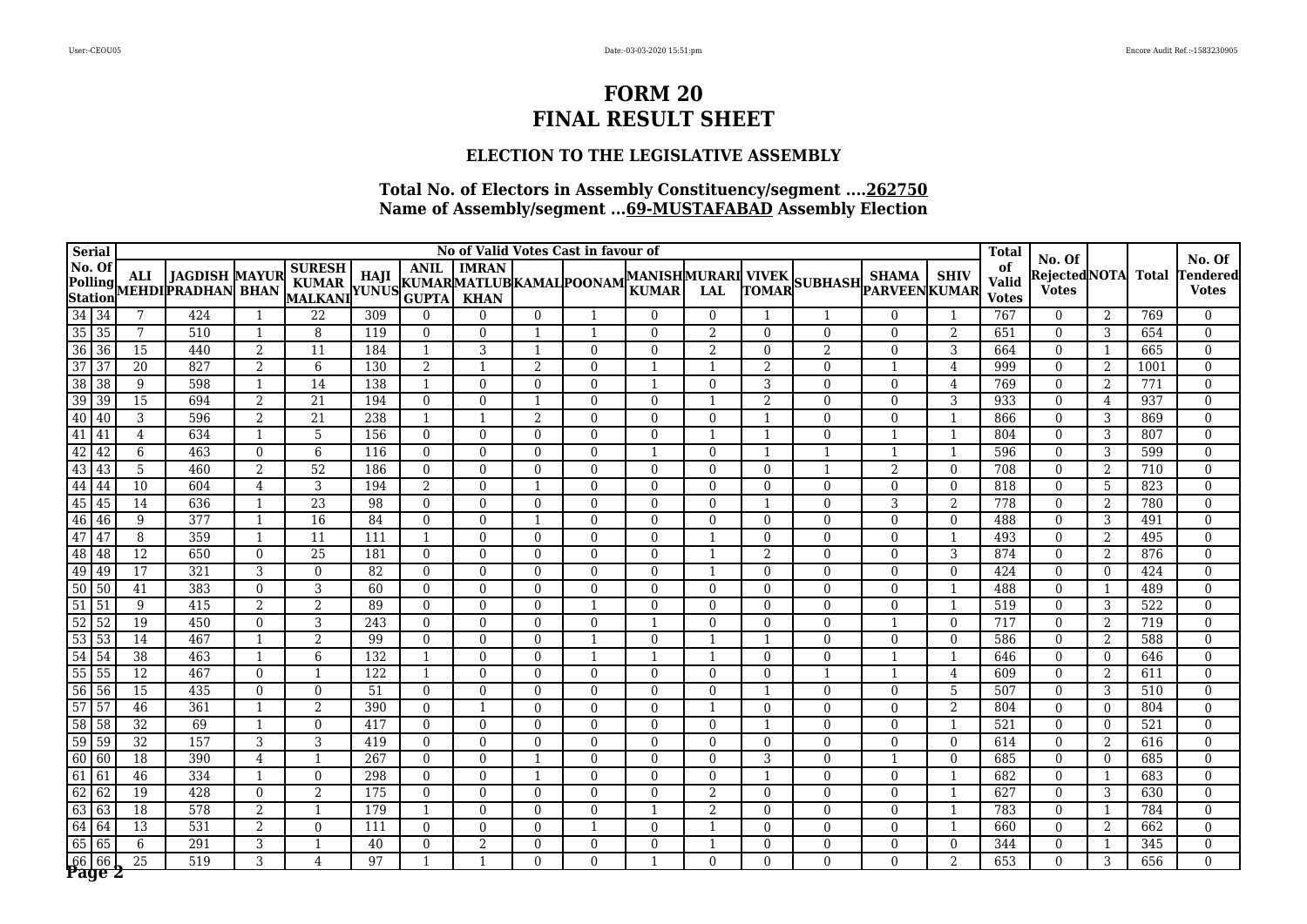### **ELECTION TO THE LEGISLATIVE ASSEMBLY**

| <b>Serial</b>      |                            |                 |                                           |                |                                                     |     |                |                |                | No of Valid Votes Cast in favour of |                                           |                |                          |                       |                |                | <b>Total</b>                       | No. Of                       |                |       | No. Of                  |
|--------------------|----------------------------|-----------------|-------------------------------------------|----------------|-----------------------------------------------------|-----|----------------|----------------|----------------|-------------------------------------|-------------------------------------------|----------------|--------------------------|-----------------------|----------------|----------------|------------------------------------|------------------------------|----------------|-------|-------------------------|
| No. Of<br>Station  | Polling                    | <b>ALI</b>      | <b>JAGDISH MAYUR</b><br>MEHDIPRADHAN BHAN |                | <b>SURESH</b><br>KUMAR HAJI KUMARMATLUBKAMAL POONAM |     | <b>ANIL</b>    | <b>IMRAN</b>   |                |                                     | <b>MANISHMURARI VIVEK</b><br><b>KUMAR</b> | LAL            | <b>TOMAR</b>             | SUBHASH PARVEEN KUMAR | <b>SHAMA</b>   | <b>SHIV</b>    | of<br><b>Valid</b><br><b>Votes</b> | RejectedNOTA<br><b>Votes</b> |                | Total | endered<br><b>Votes</b> |
| 34 34              |                            | 7               | 424                                       | -1             | 22                                                  | 309 | $\Omega$       | $\Omega$       | $\overline{0}$ |                                     | $\Omega$                                  | $\theta$       |                          |                       | $\Omega$       |                | 767                                | $\mathbf{0}$                 | 2              | 769   | $\mathbf{0}$            |
| $35\overline{)35}$ |                            | 7               | 510                                       | $\overline{1}$ | 8                                                   | 119 | $\Omega$       | $\Omega$       |                |                                     | $\Omega$                                  | 2              | $\Omega$                 | $\Omega$              | $\Omega$       | 2              | 651                                | $\theta$                     | 3              | 654   | $\Omega$                |
| $\overline{36}$    | $\sqrt{36}$                | $\overline{15}$ | 440                                       | 2              | $\overline{11}$                                     | 184 | 1              | 3              |                | $\Omega$                            | $\Omega$                                  | $\overline{2}$ | $\mathbf{0}$             | 2                     | $\theta$       | 3              | 664                                | $\mathbf{0}$                 | 1              | 665   | $\Omega$                |
| $\overline{37}$    | 37                         | 20              | 827                                       | 2              | 6                                                   | 130 | 2              | $\overline{1}$ | 2              | $\Omega$                            |                                           |                | $\overline{2}$           | $\Omega$              |                | $\overline{4}$ | 999                                | $\Omega$                     | 2              | 1001  | $\Omega$                |
| $\overline{38}$    | $\overline{38}$            | 9               | 598                                       | $\mathbf{1}$   | 14                                                  | 138 | $\mathbf{1}$   | $\mathbf{0}$   | $\Omega$       | $\theta$                            | $\mathbf{1}$                              | $\Omega$       | 3                        | $\mathbf{0}$          | $\Omega$       | $\overline{4}$ | 769                                | $\Omega$                     | 2              | 771   | $\theta$                |
| $\overline{39}$    | $\sqrt{39}$                | $\overline{15}$ | 694                                       | 2              | $\overline{21}$                                     | 194 | $\overline{0}$ | $\mathbf{0}$   |                | $\mathbf{0}$                        | $\mathbf{0}$                              |                | $\overline{2}$           | $\mathbf{0}$          | $\mathbf{0}$   | 3              | 933                                | $\mathbf{0}$                 | $\overline{4}$ | 937   | $\mathbf{0}$            |
| 40                 | 40                         | 3               | 596                                       | 2              | 21                                                  | 238 | $\mathbf{1}$   | $\mathbf{1}$   | 2              | $\Omega$                            | $\Omega$                                  | $\Omega$       | $\mathbf{1}$             | $\mathbf{0}$          | $\mathbf{0}$   | $\overline{1}$ | 866                                | $\mathbf{0}$                 | 3              | 869   | $\Omega$                |
| $\overline{41}$    | 41                         | 4               | 634                                       | $\mathbf{1}$   | $\overline{5}$                                      | 156 | $\overline{0}$ | $\mathbf{0}$   | $\mathbf{0}$   | $\mathbf{0}$                        | $\Omega$                                  | $\mathbf{1}$   | $\overline{1}$           | $\mathbf{0}$          | $\overline{1}$ | $\overline{1}$ | 804                                | $\mathbf{0}$                 | 3              | 807   | $\mathbf{0}$            |
| 42                 | 42                         | 6               | 463                                       | $\mathbf{0}$   | 6                                                   | 116 | $\Omega$       | $\mathbf{0}$   | $\Omega$       | $\Omega$                            | $\mathbf{1}$                              | $\Omega$       | -1                       | $\overline{1}$        | $\mathbf{1}$   | -1             | 596                                | $\overline{0}$               | 3              | 599   | $\Omega$                |
| $\overline{43}$    | 43                         | 5               | 460                                       | 2              | $\overline{52}$                                     | 186 | $\overline{0}$ | $\mathbf{0}$   | $\overline{0}$ | $\mathbf{0}$                        | $\Omega$                                  | $\mathbf{0}$   | $\mathbf{0}$             | $\overline{1}$        | 2              | $\mathbf{0}$   | 708                                | $\mathbf{0}$                 | 2              | 710   | $\mathbf{0}$            |
| 44                 | 44                         | 10              | 604                                       | 4              | 3                                                   | 194 | 2              | $\mathbf{0}$   | -1             | $\Omega$                            | $\Omega$                                  | $\Omega$       | $\overline{0}$           | $\mathbf{0}$          | $\mathbf{0}$   | $\Omega$       | 818                                | $\overline{0}$               | 5              | 823   | $\Omega$                |
| 45                 | 45                         | 14              | 636                                       | $\mathbf{1}$   | $\overline{23}$                                     | 98  | $\Omega$       | $\mathbf{0}$   | $\Omega$       | $\mathbf{0}$                        | $\Omega$                                  | $\mathbf{0}$   | $\overline{\phantom{0}}$ | $\mathbf{0}$          | $\overline{3}$ | $\overline{2}$ | 778                                | $\mathbf{0}$                 | 2              | 780   | $\mathbf{0}$            |
| 46                 | 46                         | 9               | 377                                       | $\mathbf{1}$   | $\overline{16}$                                     | 84  | $\Omega$       | $\Omega$       | 1              | $\Omega$                            | $\Omega$                                  | $\Omega$       | $\mathbf{0}$             | $\Omega$              | $\Omega$       | $\Omega$       | 488                                | $\Omega$                     | 3              | 491   | $\Omega$                |
| 47                 | 47                         | 8               | 359                                       | $\mathbf{1}$   | 11                                                  | 111 | $\mathbf{1}$   | $\mathbf{0}$   | $\Omega$       | $\mathbf{0}$                        | $\Omega$                                  |                | $\mathbf{0}$             | $\Omega$              | $\theta$       | $\overline{1}$ | 493                                | $\Omega$                     | 2              | 495   | $\mathbf{0}$            |
| 48                 | $\overline{\phantom{1}48}$ | $\overline{12}$ | 650                                       | $\mathbf{0}$   | $\overline{25}$                                     | 181 | $\Omega$       | $\mathbf{0}$   | $\Omega$       | $\mathbf{0}$                        | $\Omega$                                  |                | $\overline{2}$           | $\mathbf{0}$          | $\mathbf{0}$   | 3              | 874                                | $\mathbf{0}$                 | 2              | 876   | $\mathbf{0}$            |
| 49                 | $\sqrt{49}$                | $\overline{17}$ | 321                                       | 3              | $\Omega$                                            | 82  | $\Omega$       | $\Omega$       | $\Omega$       | $\Omega$                            | $\Omega$                                  |                | $\mathbf{0}$             | $\Omega$              | $\Omega$       | $\Omega$       | 424                                | $\theta$                     | $\overline{0}$ | 424   | $\Omega$                |
| $\overline{50}$    | 50                         | 41              | 383                                       | $\mathbf{0}$   | 3                                                   | 60  | $\Omega$       | $\Omega$       | $\Omega$       | $\Omega$                            | $\Omega$                                  | $\Omega$       | $\mathbf{0}$             | $\Omega$              | $\mathbf{0}$   | $\mathbf{1}$   | 488                                | $\mathbf{0}$                 | 1              | 489   | $\mathbf{0}$            |
| $\overline{51}$    | 51                         | 9               | 415                                       | $\overline{2}$ | 2                                                   | 89  | $\Omega$       | $\Omega$       | $\Omega$       | -1                                  | $\Omega$                                  | $\Omega$       | $\Omega$                 | $\Omega$              | $\Omega$       | $\overline{1}$ | 519                                | $\Omega$                     | 3              | 522   | $\Omega$                |
| 52                 | $\overline{52}$            | 19              | 450                                       | $\mathbf{0}$   | 3                                                   | 243 | $\Omega$       | $\Omega$       | $\Omega$       | $\Omega$                            |                                           | $\Omega$       | $\Omega$                 | $\Omega$              |                | $\Omega$       | 717                                | $\Omega$                     | 2              | 719   | $\Omega$                |
| $\overline{53}$    | 53                         | 14              | 467                                       | $\mathbf{1}$   | $\overline{2}$                                      | 99  | $\Omega$       | $\Omega$       | $\Omega$       |                                     | $\Omega$                                  |                | -1                       | $\Omega$              | $\theta$       | $\Omega$       | 586                                | $\Omega$                     | 2              | 588   | $\Omega$                |
| 54                 | 54                         | 38              | 463                                       | $\mathbf{1}$   | 6                                                   | 132 | $\mathbf{1}$   | $\Omega$       | $\Omega$       | -1                                  |                                           |                | $\Omega$                 | $\Omega$              |                | $\overline{1}$ | 646                                | $\Omega$                     | $\overline{0}$ | 646   | $\mathbf{0}$            |
| $\overline{55}$    | $\overline{55}$            | 12              | 467                                       | $\mathbf{0}$   | 1                                                   | 122 | 1              | $\overline{0}$ | $\overline{0}$ | $\mathbf{0}$                        | $\mathbf{0}$                              | $\mathbf{0}$   | $\overline{0}$           | $\mathbf{1}$          |                | $\overline{4}$ | 609                                | $\overline{0}$               | 2              | 611   | $\mathbf{0}$            |
| $\overline{56}$    | 56                         | 15              | 435                                       | $\Omega$       | $\Omega$                                            | 51  | $\Omega$       | $\Omega$       | $\Omega$       | $\Omega$                            | $\Omega$                                  | $\Omega$       | $\mathbf 1$              | $\Omega$              | $\Omega$       | 5              | 507                                | $\Omega$                     | 3              | 510   | $\Omega$                |
| 57                 | 57                         | 46              | 361                                       | $\mathbf{1}$   | 2                                                   | 390 | $\overline{0}$ | $\mathbf{1}$   | $\overline{0}$ | $\mathbf{0}$                        | $\overline{0}$                            | -1             | $\overline{0}$           | $\mathbf{0}$          | $\mathbf{0}$   | 2              | 804                                | $\overline{0}$               | $\overline{0}$ | 804   | $\mathbf{0}$            |
| $\overline{58}$    | 58                         | 32              | 69                                        | -1             | $\Omega$                                            | 417 | $\Omega$       | $\Omega$       | $\Omega$       | $\Omega$                            | $\Omega$                                  | $\Omega$       | -1                       | $\Omega$              | $\Omega$       | -1             | 521                                | $\theta$                     | $\overline{0}$ | 521   | $\Omega$                |
| $\overline{59}$    | $\sqrt{59}$                | $\overline{32}$ | 157                                       | 3              | 3                                                   | 419 | $\Omega$       | $\Omega$       | $\Omega$       | $\Omega$                            | $\Omega$                                  | $\Omega$       | $\mathbf{0}$             | $\mathbf{0}$          | $\Omega$       | $\Omega$       | 614                                | $\Omega$                     | $\overline{2}$ | 616   | $\theta$                |
| 60                 | 60                         | 18              | 390                                       | 4              |                                                     | 267 | $\Omega$       | $\Omega$       |                | $\Omega$                            | $\Omega$                                  | $\Omega$       | 3                        | $\Omega$              |                | $\Omega$       | 685                                | $\Omega$                     | $\overline{0}$ | 685   | $\Omega$                |
| 61                 | 61                         | 46              | 334                                       | $\mathbf{1}$   | $\Omega$                                            | 298 | $\Omega$       | $\Omega$       |                | $\Omega$                            | $\Omega$                                  | $\Omega$       |                          | $\overline{0}$        | $\Omega$       |                | 682                                | $\Omega$                     | 1              | 683   | $\Omega$                |
| 62                 | $\sqrt{62}$                | 19              | 428                                       | $\mathbf{0}$   | $\overline{2}$                                      | 175 | $\Omega$       | $\Omega$       | $\Omega$       | $\Omega$                            | $\Omega$                                  | 2              | $\overline{0}$           | $\mathbf{0}$          | $\Omega$       | $\overline{1}$ | 627                                | $\Omega$                     | 3              | 630   | $\theta$                |
| 63                 | $\sqrt{63}$                | 18              | 578                                       | $\overline{2}$ | $\mathbf{1}$                                        | 179 |                | $\Omega$       | 0              | $\Omega$                            |                                           | 2              | $\theta$                 | $\mathbf{0}$          | $\Omega$       | $\mathbf{1}$   | 783                                | $\Omega$                     | 1              | 784   | $\Omega$                |
| $\overline{64}$    | 64                         | 13              | 531                                       | $\overline{2}$ | $\Omega$                                            | 111 | $\Omega$       | $\Omega$       | $\Omega$       |                                     | $\Omega$                                  |                | $\theta$                 | $\mathbf{0}$          | $\Omega$       | $\mathbf{1}$   | 660                                | $\Omega$                     | $\overline{2}$ | 662   | $\mathbf{0}$            |
| 65                 | 65                         | 6               | 291                                       | 3              | -1                                                  | 40  | $\Omega$       | $\overline{2}$ | $\Omega$       | $\Omega$                            | $\Omega$                                  |                | $\Omega$                 | $\mathbf{0}$          | $\Omega$       | $\Omega$       | 344                                | $\Omega$                     | $\mathbf{1}$   | 345   | $\Omega$                |
| $\overline{66}$    | 66<br>Page 2               | $\overline{25}$ | 519                                       | 3              | 4                                                   | 97  | $\mathbf{1}$   | $\mathbf{1}$   | $\Omega$       | $\Omega$                            | $\mathbf{1}$                              | $\Omega$       | $\Omega$                 | $\Omega$              | $\Omega$       | $\overline{2}$ | 653                                | $\Omega$                     | 3              | 656   | $\Omega$                |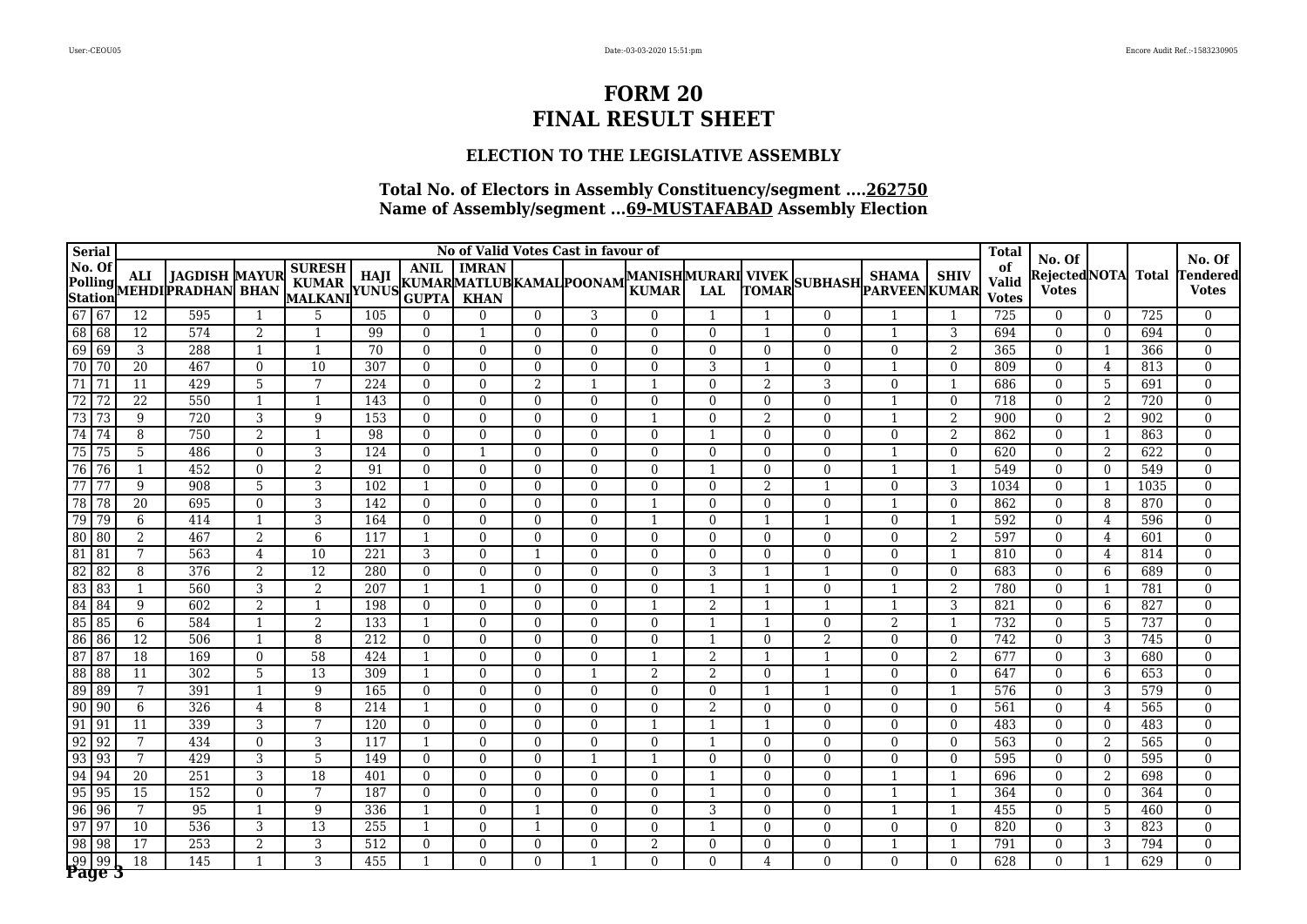### **ELECTION TO THE LEGISLATIVE ASSEMBLY**

| <b>Serial</b>   |                                 |                 |                                                    |                |                                                     |                 |                |                |                | No of Valid Votes Cast in favour of |                                    |                |                          |                       |              |                | <b>Total</b>                       | No. Of                        |                |              | No. Of                   |
|-----------------|---------------------------------|-----------------|----------------------------------------------------|----------------|-----------------------------------------------------|-----------------|----------------|----------------|----------------|-------------------------------------|------------------------------------|----------------|--------------------------|-----------------------|--------------|----------------|------------------------------------|-------------------------------|----------------|--------------|--------------------------|
| No. Of          |                                 | ALI             | <b>JAGDISH MAYUR</b><br>Polling MEHDI PRADHAN BHAN |                | <b>SURESH</b><br>KUMAR HAJI KUMARMATLUBKAMAL POONAM |                 | <b>ANIL</b>    | <b>IMRAN</b>   |                |                                     | MANISHMURARI VIVEK<br><b>KUMAR</b> | <b>LAL</b>     | <b>TOMAR</b>             | SUBHASH PARVEEN KUMAR | <b>SHAMA</b> | <b>SHIV</b>    | of<br><b>Valid</b><br><b>Votes</b> | Rejected NOTA<br><b>Votes</b> |                | <b>Total</b> | Tendered<br><b>Votes</b> |
| $6767$          |                                 | $\overline{12}$ | 595                                                | -1             | 5                                                   | 105             | $\Omega$       | $\Omega$       | $\overline{0}$ | 3                                   | $\Omega$                           |                | -1                       | $\mathbf{0}$          |              | 1              | 725                                | $\overline{0}$                | $\overline{0}$ | 725          | $\mathbf{0}$             |
| 68 68           |                                 | 12              | 574                                                | 2              | -1                                                  | 99              | $\Omega$       | -1             | $\Omega$       | $\Omega$                            | $\Omega$                           | $\theta$       | $\overline{\phantom{0}}$ | $\Omega$              | $\mathbf{1}$ | 3              | 694                                | $\theta$                      | $\overline{0}$ | 694          | $\Omega$                 |
| 69 69           |                                 | 3               | 288                                                | $\mathbf{1}$   | $\mathbf{1}$                                        | $\overline{70}$ | $\Omega$       | $\overline{0}$ | $\Omega$       | $\Omega$                            | $\Omega$                           | $\Omega$       | $\mathbf{0}$             | $\mathbf{0}$          | $\mathbf{0}$ | $\overline{2}$ | 365                                | $\Omega$                      | 1              | 366          | $\Omega$                 |
| 70              | 70                              | $\overline{20}$ | 467                                                | $\mathbf{0}$   | 10                                                  | 307             | $\overline{0}$ | $\overline{0}$ | $\mathbf{0}$   | $\overline{0}$                      | $\Omega$                           | 3              |                          | $\mathbf{0}$          |              | $\mathbf{0}$   | 809                                | $\mathbf{0}$                  | $\overline{4}$ | 813          | $\Omega$                 |
| $\overline{71}$ | $\sqrt{71}$                     | 11              | 429                                                | 5              | 7                                                   | 224             | $\Omega$       | $\Omega$       | 2              |                                     |                                    | $\Omega$       | $\overline{2}$           | 3                     | $\mathbf{0}$ | $\mathbf{1}$   | 686                                | $\theta$                      | 5              | 691          | $\Omega$                 |
| 72              | $\overline{72}$                 | $\overline{22}$ | 550                                                | $\mathbf{1}$   | $\mathbf{1}$                                        | 143             | $\Omega$       | $\overline{0}$ | $\Omega$       | $\Omega$                            | $\Omega$                           | $\Omega$       | $\mathbf{0}$             | $\mathbf{0}$          |              | $\mathbf{0}$   | 718                                | $\mathbf{0}$                  | 2              | 720          | $\Omega$                 |
| 73              | $\overline{73}$                 | 9               | 720                                                | 3              | 9                                                   | 153             | $\Omega$       | $\Omega$       | $\Omega$       | $\Omega$                            |                                    | $\Omega$       | $\overline{2}$           | $\Omega$              | $\mathbf{1}$ | $\overline{2}$ | 900                                | $\Omega$                      | 2              | 902          | $\Omega$                 |
| 74              | $\sqrt{74}$                     | 8               | 750                                                | $\overline{2}$ | $\mathbf{1}$                                        | 98              | $\Omega$       | $\Omega$       | $\Omega$       | $\Omega$                            | $\Omega$                           |                | $\Omega$                 | $\mathbf{0}$          | $\Omega$     | 2              | 862                                | $\Omega$                      | 1              | 863          | $\Omega$                 |
| 75              | $\sqrt{75}$                     | 5               | 486                                                | $\mathbf{0}$   | $\overline{3}$                                      | 124             | $\overline{0}$ | $\mathbf{1}$   | $\Omega$       | $\Omega$                            | $\Omega$                           | $\Omega$       | $\overline{0}$           | $\mathbf{0}$          |              | $\Omega$       | 620                                | $\mathbf{0}$                  | $\overline{2}$ | 622          | $\theta$                 |
| 76              | 76                              |                 | 452                                                | $\Omega$       | $\overline{2}$                                      | 91              | $\Omega$       | $\Omega$       | $\Omega$       | $\Omega$                            | $\Omega$                           |                | $\Omega$                 | $\Omega$              |              |                | 549                                | $\Omega$                      | $\overline{0}$ | 549          | $\Omega$                 |
| 77              | 77                              | 9               | 908                                                | 5              | 3                                                   | 102             | $\mathbf{1}$   | $\theta$       | $\Omega$       | $\theta$                            | $\Omega$                           | $\theta$       | $\overline{2}$           | $\overline{1}$        | $\mathbf{0}$ | 3              | 1034                               | $\mathbf{0}$                  | 1              | 1035         | $\mathbf{0}$             |
| $\overline{78}$ | $\sqrt{78}$                     | $\overline{20}$ | 695                                                | $\mathbf{0}$   | $\overline{3}$                                      | 142             | $\overline{0}$ | $\mathbf{0}$   | $\mathbf{0}$   | $\mathbf{0}$                        |                                    | $\mathbf{0}$   | $\overline{0}$           | $\boldsymbol{0}$      |              | $\theta$       | 862                                | $\mathbf{0}$                  | 8              | 870          | $\mathbf{0}$             |
| $\overline{79}$ | 79                              | 6               | 414                                                | $\mathbf{1}$   | 3                                                   | 164             | $\Omega$       | $\Omega$       | $\Omega$       | $\Omega$                            | $\mathbf{1}$                       | $\Omega$       | $\mathbf 1$              | $\overline{1}$        | $\Omega$     | -1             | 592                                | $\theta$                      | 4              | 596          | $\Omega$                 |
| 80              | 80                              | 2               | 467                                                | 2              | 6                                                   | 117             | $\mathbf{1}$   | $\mathbf{0}$   | $\mathbf{0}$   | $\mathbf{0}$                        | $\Omega$                           | $\mathbf{0}$   | $\mathbf{0}$             | $\mathbf{0}$          | $\mathbf{0}$ | 2              | 597                                | $\mathbf{0}$                  | 4              | 601          | $\mathbf{0}$             |
| $\sqrt{81}$     | 81                              | 7               | 563                                                | 4              | 10                                                  | 221             | 3              | $\mathbf{0}$   | $\mathbf 1$    | $\mathbf{0}$                        | $\overline{0}$                     | $\mathbf{0}$   | $\overline{0}$           | $\mathbf{0}$          | $\mathbf{0}$ | $\mathbf{1}$   | 810                                | $\mathbf{0}$                  | 4              | 814          | $\mathbf{0}$             |
| 82              | 82                              | 8               | 376                                                | $\overline{2}$ | $\overline{12}$                                     | 280             | $\Omega$       | $\overline{0}$ | $\Omega$       | $\mathbf{0}$                        | $\Omega$                           | 3              | 1                        | $\overline{1}$        | $\mathbf{0}$ | $\mathbf{0}$   | 683                                | $\mathbf{0}$                  | 6              | 689          | $\mathbf{0}$             |
| 83 83           |                                 | $\mathbf{1}$    | 560                                                | $\overline{3}$ | $\overline{2}$                                      | 207             | $\mathbf{1}$   | $\overline{1}$ | $\Omega$       | $\mathbf{0}$                        | $\Omega$                           | $\mathbf{1}$   | $\overline{1}$           | $\mathbf{0}$          |              | $\overline{2}$ | 780                                | $\mathbf{0}$                  | 1              | 781          | $\mathbf{0}$             |
| 84              | 84                              | 9               | 602                                                | $\overline{2}$ | $\mathbf{1}$                                        | 198             | $\Omega$       | $\mathbf{0}$   | $\Omega$       | $\Omega$                            |                                    | 2              | $\overline{\phantom{0}}$ | $\overline{1}$        | $\mathbf{1}$ | 3              | 821                                | $\mathbf{0}$                  | 6              | 827          | $\mathbf{0}$             |
| 85 85           |                                 | 6               | 584                                                | $\mathbf{1}$   | $\overline{2}$                                      | 133             | 1              | $\theta$       | $\Omega$       | $\Omega$                            | $\Omega$                           | $\mathbf{1}$   | $\overline{1}$           | $\Omega$              | 2            | $\mathbf{1}$   | 732                                | $\mathbf{0}$                  | 5              | 737          | $\mathbf{0}$             |
| 86 86           |                                 | $\overline{12}$ | 506                                                | $\mathbf{1}$   | 8                                                   | 212             | $\Omega$       | $\mathbf{0}$   | $\Omega$       | $\mathbf{0}$                        | $\Omega$                           | $\mathbf{1}$   | $\mathbf{0}$             | $\overline{2}$        | $\mathbf{0}$ | $\mathbf{0}$   | 742                                | $\mathbf{0}$                  | 3              | 745          | $\mathbf{0}$             |
| $\sqrt{87}$     | $\sqrt{87}$                     | $\overline{18}$ | 169                                                | $\Omega$       | $\overline{58}$                                     | 424             | $\mathbf{1}$   | $\Omega$       | $\Omega$       | $\Omega$                            | -1                                 | 2              | $\overline{\phantom{a}}$ | $\overline{1}$        | $\Omega$     | 2              | 677                                | $\Omega$                      | 3              | 680          | $\Omega$                 |
| $\sqrt{88}$     | $\overline{88}$                 | $\overline{11}$ | 302                                                | $\overline{5}$ | 13                                                  | 309             | 1              | $\Omega$       | $\Omega$       |                                     | 2                                  | $\overline{2}$ | $\Omega$                 |                       | $\theta$     | $\Omega$       | 647                                | $\Omega$                      | 6              | 653          | $\mathbf{0}$             |
| 89 89           |                                 | 7               | 391                                                | $\mathbf{1}$   | $\overline{9}$                                      | 165             | $\Omega$       | $\Omega$       | $\Omega$       | $\Omega$                            | $\Omega$                           | $\Omega$       | 1                        |                       | $\theta$     | $\mathbf{1}$   | 576                                | $\Omega$                      | 3              | 579          | $\Omega$                 |
| $\boxed{90}$    | $\sqrt{90}$                     | 6               | 326                                                | $\overline{4}$ | 8                                                   | 214             | 1              | $\Omega$       | $\Omega$       | $\Omega$                            | $\Omega$                           | 2              | $\Omega$                 | $\Omega$              | $\Omega$     | $\Omega$       | 561                                | $\Omega$                      | $\overline{4}$ | 565          | $\mathbf{0}$             |
| 91 91           |                                 | 11              | 339                                                | 3              | 7                                                   | 120             | $\overline{0}$ | $\mathbf{0}$   | $\overline{0}$ | $\mathbf{0}$                        | $\overline{1}$                     | -1             | $\mathbf 1$              | $\mathbf{0}$          | $\mathbf{0}$ | $\mathbf{0}$   | 483                                | $\mathbf{0}$                  | $\overline{0}$ | 483          | $\mathbf{0}$             |
| $\overline{92}$ | $\sqrt{92}$                     | 7               | 434                                                | $\mathbf{0}$   | 3                                                   | 117             | $\mathbf{1}$   | $\Omega$       | $\Omega$       | $\Omega$                            | $\Omega$                           |                | $\Omega$                 | $\Omega$              | $\Omega$     | $\Omega$       | 563                                | $\theta$                      | 2              | 565          | $\Omega$                 |
| $\sqrt{93}$     | $\sqrt{93}$                     | 7               | 429                                                | 3              | 5                                                   | 149             | $\Omega$       | $\Omega$       | $\Omega$       |                                     | -1                                 | $\Omega$       | $\Omega$                 | $\mathbf{0}$          | $\Omega$     | $\Omega$       | 595                                | $\Omega$                      | $\overline{0}$ | 595          | $\theta$                 |
| $\sqrt{94}$     | 94                              | $\overline{20}$ | 251                                                | 3              | $\overline{18}$                                     | 401             | $\Omega$       | $\mathbf{0}$   | $\Omega$       | $\mathbf{0}$                        | $\Omega$                           |                | $\theta$                 | $\mathbf{0}$          |              |                | 696                                | $\mathbf{0}$                  | 2              | 698          | $\mathbf{0}$             |
| $\overline{95}$ | $\sqrt{95}$                     | $\overline{15}$ | 152                                                | $\Omega$       | 7                                                   | 187             | $\Omega$       | $\Omega$       | 0              | $\Omega$                            | $\Omega$                           |                | $\Omega$                 | $\Omega$              |              |                | 364                                | $\Omega$                      | $\overline{0}$ | 364          | $\Omega$                 |
| $\sqrt{96}$     | 96                              | 7               | $\overline{95}$                                    | $\mathbf{1}$   | 9                                                   | 336             |                | $\Omega$       |                | $\Omega$                            | $\Omega$                           | 3              | $\theta$                 | $\overline{0}$        |              | $\mathbf{1}$   | 455                                | $\mathbf{0}$                  | 5              | 460          | $\theta$                 |
| $\overline{97}$ | $\overline{97}$                 | 10              | 536                                                | 3              | 13                                                  | 255             |                | $\Omega$       |                | $\Omega$                            | $\Omega$                           |                | $\theta$                 | $\mathbf{0}$          | $\Omega$     | $\Omega$       | 820                                | $\Omega$                      | 3              | 823          | $\theta$                 |
| $\overline{98}$ | $\sqrt{98}$                     | 17              | 253                                                | 2              | 3                                                   | 512             | $\Omega$       | $\Omega$       | $\Omega$       | $\Omega$                            | $\overline{2}$                     | $\Omega$       | $\Omega$                 | $\mathbf{0}$          |              | $\overline{1}$ | 791                                | $\Omega$                      | 3              | 794          | $\mathbf{0}$             |
|                 | $\frac{99}{99}$ $\frac{99}{99}$ | 18              | 145                                                | $\mathbf{1}$   | 3                                                   | 455             | $\mathbf{1}$   | $\Omega$       | $\Omega$       |                                     | $\Omega$                           | $\theta$       | $\overline{4}$           | $\Omega$              | $\Omega$     | $\Omega$       | 628                                | $\Omega$                      | $\mathbf{1}$   | 629          | $\Omega$                 |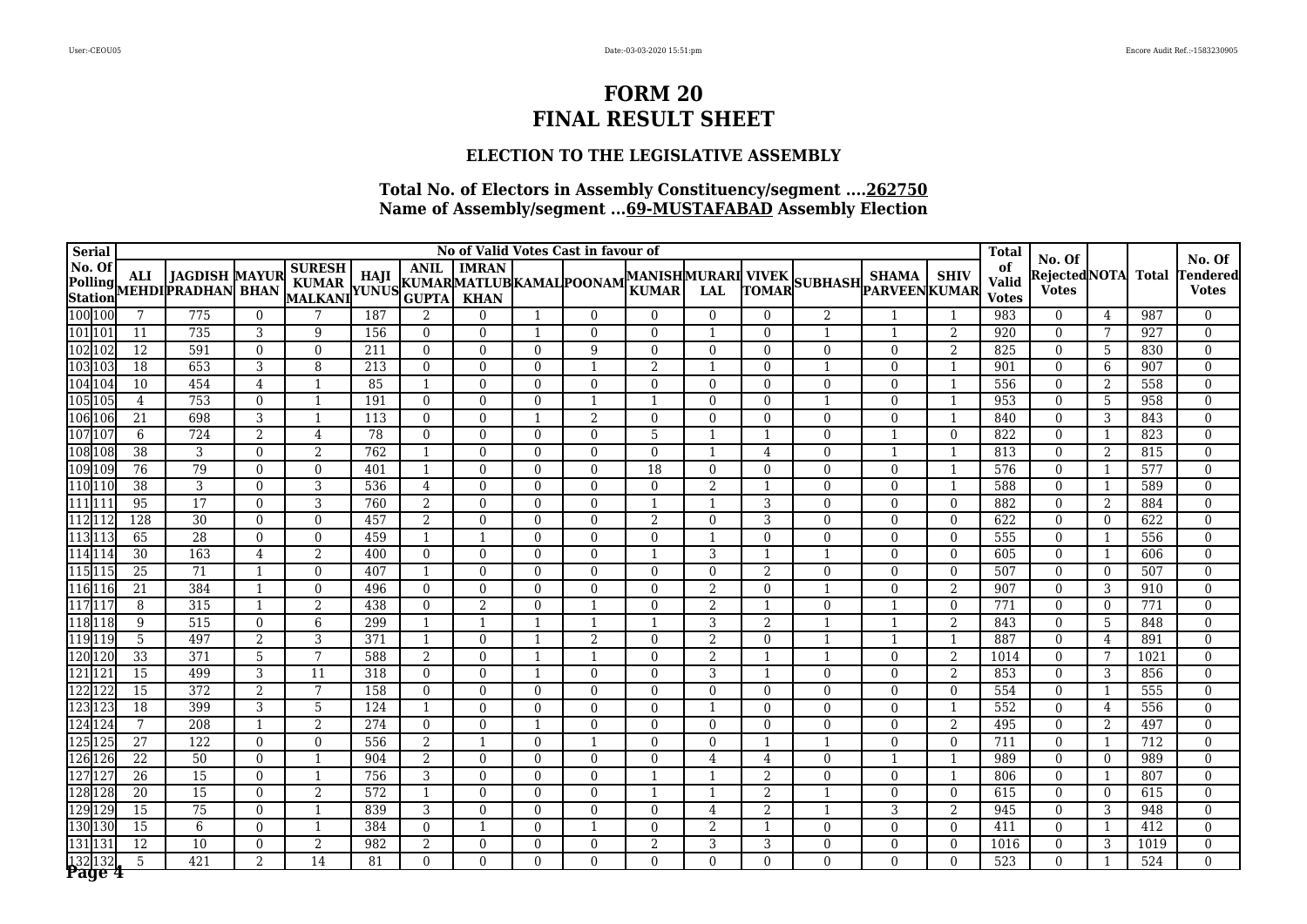### **ELECTION TO THE LEGISLATIVE ASSEMBLY**

| <b>Serial</b>    |                                    |                                                                                 |                          |                                                          |            |                |                      |                      | No of Valid Votes Cast in favour of |                                           |                |                                  |                          |                          |                          | <b>Total</b>                       | No. Of                        |                 |              | No. Of                   |
|------------------|------------------------------------|---------------------------------------------------------------------------------|--------------------------|----------------------------------------------------------|------------|----------------|----------------------|----------------------|-------------------------------------|-------------------------------------------|----------------|----------------------------------|--------------------------|--------------------------|--------------------------|------------------------------------|-------------------------------|-----------------|--------------|--------------------------|
| No. Of           | <b>ALI</b>                         | <b>JAGDISH MAYUR</b><br>Polling ALI JAGDISH MAYUR<br>Station MEHDI PRADHAN BHAN |                          | <b>SURESH</b><br>KUMAR   114JI   KUMARMATLUBKAMAL POONAM |            | <b>ANIL</b>    | <b>IMRAN</b>         |                      |                                     | <b>MANISHMURARI VIVEK</b><br><b>KUMAR</b> | <b>LAL</b>     | TOMAR                            | SUBHASH PARVEEN KUMAR    | <b>SHAMA</b>             | <b>SHIV</b>              | of<br><b>Valid</b><br><b>Votes</b> | Rejected NOTA<br><b>Votes</b> |                 | <b>Total</b> | endered<br><b>Votes</b>  |
| 100 100          | 7                                  | 775                                                                             | $\overline{0}$           |                                                          | 187        | $\overline{2}$ | $\Omega$             |                      | $\Omega$                            | $\Omega$                                  | $\Omega$       | $\overline{0}$                   | $\overline{2}$           |                          |                          | 983                                | $\mathbf{0}$                  | 4               | 987          | $\Omega$                 |
| 101 101          | 11                                 | 735                                                                             | 3                        | 9                                                        | 156        | $\Omega$       | $\Omega$             |                      | $\Omega$                            | $\Omega$                                  |                | $\Omega$                         |                          |                          | $\overline{2}$           | 920                                | $\Omega$                      | 7               | 927          | $\Omega$                 |
| 102 102          | $\overline{12}$                    | 591                                                                             | $\mathbf{0}$             | $\Omega$                                                 | 211        | $\Omega$       | $\overline{0}$       | $\Omega$             | 9                                   | $\Omega$                                  | $\Omega$       | $\overline{0}$                   | $\mathbf{0}$             | $\mathbf{0}$             | $\overline{2}$           | 825                                | $\mathbf{0}$                  | $\overline{5}$  | 830          | $\Omega$                 |
| 103 103          | $\overline{18}$                    | 653                                                                             | 3                        | 8                                                        | 213        | $\Omega$       | $\Omega$             | $\Omega$             |                                     | $\overline{2}$                            |                | $\Omega$                         | $\overline{1}$           | $\Omega$                 | $\overline{1}$           | 901                                | $\Omega$                      | 6               | 907          | $\Omega$                 |
| 104 104          | 10                                 | 454                                                                             | $\overline{4}$           | $\mathbf{1}$                                             | 85         |                | $\Omega$             | $\Omega$             | $\Omega$                            | $\Omega$                                  | $\Omega$       | $\Omega$                         | $\mathbf{0}$             | $\Omega$                 | $\overline{1}$           | 556                                | $\Omega$                      | 2               | 558          | $\Omega$                 |
| 105 105          | $\overline{4}$                     | 753                                                                             | $\mathbf{0}$             | $\mathbf{1}$                                             | 191        | $\Omega$       | $\mathbf{0}$         | $\Omega$             |                                     |                                           | $\Omega$       | $\overline{0}$                   | $\overline{1}$           | $\mathbf{0}$             | $\overline{1}$           | 953                                | $\mathbf{0}$                  | $5\phantom{.0}$ | 958          | $\mathbf{0}$             |
| 106 106          | 21                                 | 698                                                                             | 3                        | $\mathbf{1}$                                             | 113        | $\Omega$       | $\Omega$             |                      | $\overline{2}$                      | $\Omega$                                  | $\Omega$       | $\Omega$                         | $\Omega$                 | $\Omega$                 | $\mathbf{1}$             | 840                                | $\Omega$                      | 3               | 843          | $\Omega$                 |
| 107 107          | 6                                  | 724                                                                             | $\overline{2}$           | $\overline{4}$                                           | 78         | $\Omega$       | $\overline{0}$       | $\Omega$             | $\theta$                            | 5                                         |                |                                  | $\mathbf{0}$             |                          | $\Omega$                 | 822                                | $\mathbf{0}$                  | $\mathbf{1}$    | 823          | $\mathbf{0}$             |
| 108 108          | $\overline{38}$                    | 3                                                                               | $\Omega$                 | 2                                                        | 762        | $\mathbf{1}$   | $\Omega$             | $\Omega$             | $\Omega$                            | $\Omega$                                  |                | $\overline{4}$                   | $\Omega$                 |                          |                          | 813                                | $\Omega$                      | 2               | 815          | $\Omega$                 |
| 109 109          | 76                                 | 79                                                                              | $\Omega$                 | $\Omega$                                                 | 401        | $\mathbf{1}$   | $\theta$             | $\Omega$             | $\theta$                            | 18                                        | $\Omega$       | $\overline{0}$                   | $\mathbf{0}$             | $\mathbf{0}$             | $\overline{1}$           | 576                                | $\mathbf{0}$                  | 1               | 577          | $\mathbf{0}$             |
| 110 110          | $\overline{38}$                    | 3                                                                               | $\mathbf{0}$             | 3                                                        | 536        | $\overline{4}$ | $\mathbf{0}$         | $\mathbf{0}$         | $\mathbf{0}$                        | $\overline{0}$                            | $\overline{2}$ | $\overline{\phantom{0}}$         | $\mathbf{0}$             | $\mathbf{0}$             | -1                       | 588                                | $\mathbf{0}$                  | 1               | 589          | $\mathbf{0}$             |
| 111 111          | 95                                 | 17                                                                              | $\theta$                 | 3                                                        | 760        | 2              | $\mathbf{0}$         | $\Omega$             | $\Omega$                            | $\mathbf{1}$                              | $\mathbf{1}$   | 3                                | $\overline{0}$           | $\overline{0}$           | $\Omega$                 | 882                                | $\overline{0}$                | 2               | 884          | $\mathbf{0}$             |
| 112 112          | 128                                | $\overline{30}$                                                                 | $\Omega$                 | $\mathbf{0}$                                             | 457        | 2              | $\mathbf{0}$         | $\overline{0}$       | $\mathbf{0}$                        | 2                                         | $\mathbf{0}$   | 3                                | $\mathbf{0}$             | $\mathbf{0}$             | $\mathbf{0}$             | 622                                | $\overline{0}$                | $\overline{0}$  | 622          | $\mathbf{0}$             |
| 113 113          | 65                                 | $\overline{28}$                                                                 | $\Omega$                 | $\Omega$                                                 | 459        | $\mathbf{1}$   | $\mathbf{1}$         | $\Omega$             | $\Omega$                            | $\Omega$                                  | $\mathbf{1}$   | $\mathbf{0}$                     | $\mathbf{0}$             | $\Omega$                 | $\Omega$                 | 555                                | $\Omega$                      | 1               | 556          | $\mathbf{0}$             |
| 114 114          | 30                                 | 163                                                                             | $\overline{4}$           | 2                                                        | 400        | $\Omega$       | $\mathbf{0}$         | $\Omega$             | $\mathbf{0}$                        |                                           | 3              | $\mathbf{1}$                     | $\overline{1}$           | $\Omega$                 | $\Omega$                 | 605                                | $\mathbf{0}$                  | 1               | 606          | $\mathbf{0}$             |
| 115 115          | $\overline{25}$                    | $\overline{71}$                                                                 | $\mathbf{1}$             | $\Omega$                                                 | 407        | 1              | $\mathbf{0}$         | $\Omega$             | $\Omega$                            | $\Omega$                                  | $\mathbf{0}$   | $\overline{2}$                   | $\Omega$                 | $\Omega$                 | $\Omega$                 | 507                                | $\mathbf{0}$                  | $\overline{0}$  | 507          | $\mathbf{0}$             |
| 116 116          | 21                                 | 384                                                                             | $\mathbf{1}$             | $\Omega$                                                 | 496        | $\Omega$       | $\mathbf{0}$         | $\Omega$             | $\Omega$                            | $\Omega$                                  | 2              | $\mathbf{0}$                     | $\mathbf{1}$             | $\mathbf{0}$             | 2                        | 907                                | $\overline{0}$                | 3               | 910          | $\mathbf{0}$             |
| 117 117          | 8                                  | 315                                                                             | $\mathbf{1}$             | $\overline{2}$                                           | 438        | $\Omega$       | 2                    | $\Omega$             |                                     | $\Omega$                                  | $\overline{2}$ | -1                               | $\Omega$                 | $\mathbf{1}$             | $\Omega$                 | 771                                | $\Omega$                      | $\overline{0}$  | 771          | $\mathbf{0}$             |
| 118 118          | 9                                  | 515                                                                             | $\Omega$                 | 6                                                        | 299        | 1              | $\mathbf{1}$         | $\mathbf 1$          | -1                                  | -1                                        | 3              | 2                                | $\overline{1}$           | $\mathbf{1}$             | 2                        | 843                                | $\Omega$                      | 5               | 848          | $\Omega$                 |
| 119 119          | $5\phantom{.0}$                    | 497                                                                             | $\overline{2}$           | 3                                                        | 371        | $\mathbf{1}$   | $\theta$             | $\mathbf{1}$         | 2                                   | $\Omega$                                  | 2              | $\mathbf{0}$                     |                          |                          | $\overline{1}$           | 887                                | $\Omega$                      | $\overline{4}$  | 891          | $\mathbf{0}$             |
| 120 120          | $\overline{33}$                    | $\overline{371}$                                                                | 5                        | $\overline{7}$                                           | 588        | 2              | $\Omega$             | -1                   |                                     | $\Omega$                                  | $\overline{2}$ | -1                               | $\mathbf{1}$             | $\Omega$                 | $\overline{2}$           | 1014                               | $\Omega$                      | 7               | 1021         | $\mathbf{0}$             |
| 121127           | 15                                 | 499                                                                             | 3                        | 11<br>7                                                  | 318        | $\Omega$       | $\Omega$             |                      | $\Omega$                            | $\Omega$                                  | 3              | $\mathbf 1$                      | $\Omega$                 | $\Omega$                 | $\overline{2}$           | 853                                | $\theta$                      | 3               | 856          | $\Omega$                 |
| 122 122          | $\overline{15}$                    | 372                                                                             | $\overline{2}$           |                                                          | 158        | $\Omega$       | $\Omega$             | $\Omega$             | $\Omega$                            | $\Omega$                                  | $\Omega$       | $\mathbf{0}$                     | $\Omega$                 | $\Omega$                 | $\Omega$                 | 554                                | $\Omega$                      | -1              | 555          | $\mathbf{0}$             |
| 123 123          | 18<br>7                            | 399                                                                             | 3                        | 5                                                        | 124        | 1              | $\Omega$             | $\Omega$             | $\Omega$                            | $\Omega$                                  |                | $\Omega$                         | $\Omega$                 | $\Omega$                 | $\overline{1}$           | 552                                | $\theta$                      | $\overline{4}$  | 556          | $\Omega$                 |
| 124 124          |                                    | 208                                                                             | $\mathbf{1}$             | 2                                                        | 274        | $\Omega$       | $\Omega$             |                      | $\Omega$                            | $\Omega$                                  | $\Omega$       | $\Omega$                         | $\Omega$                 | $\Omega$                 | $\overline{2}$           | 495                                | $\Omega$                      | 2               | 497          | $\Omega$                 |
| 125 125          | $\overline{27}$                    | 122                                                                             | $\mathbf{0}$             | $\mathbf{0}$                                             | 556        | $\overline{2}$ | $\mathbf{1}$         | $\Omega$             |                                     | $\Omega$                                  | $\Omega$       |                                  |                          | $\mathbf{0}$             | $\mathbf{0}$             | 711                                | $\theta$                      | 1               | 712          | $\mathbf{0}$             |
| 126 126          | 22                                 | $\overline{50}$                                                                 | $\Omega$                 |                                                          | 904        | 2              | $\Omega$             | $\Omega$             | $\Omega$                            | $\Omega$                                  | 4              | $\overline{4}$                   | $\Omega$                 |                          | $\mathbf{1}$             | 989                                | $\Omega$                      | $\overline{0}$  | 989          | $\Omega$                 |
| 127 12           | $\overline{26}$<br>$\overline{20}$ | $\overline{15}$<br>15                                                           | $\mathbf{0}$<br>$\Omega$ | $\overline{2}$                                           | 756<br>572 | 3              | $\Omega$<br>$\Omega$ | 0<br>0               | $\Omega$<br>$\Omega$                |                                           |                | $\overline{2}$<br>$\overline{2}$ | $\Omega$                 | $\Omega$<br>$\Omega$     | $\Omega$                 | 806                                | $\Omega$<br>$\Omega$          | -1              | 807          | $\theta$<br>$\Omega$     |
| 128 128          |                                    |                                                                                 |                          | $\mathbf{1}$                                             |            |                |                      |                      |                                     |                                           |                |                                  |                          |                          |                          | 615                                |                               | $\overline{0}$  | 615          | $\Omega$                 |
| 129 129          | $\overline{15}$                    | $\overline{75}$                                                                 | $\mathbf{0}$             | $\mathbf{1}$                                             | 839        | 3              | $\Omega$             | 0                    | $\Omega$                            | $\Omega$                                  | $\overline{4}$ | $\overline{2}$                   |                          | 3                        | $\overline{2}$           | 945                                | $\mathbf{0}$                  | 3               | 948          | $\Omega$                 |
| 130 130          | 15                                 | 6                                                                               | $\mathbf{0}$<br>$\Omega$ |                                                          | 384        | $\Omega$       | $\Omega$             | $\Omega$             | $\Omega$                            | $\Omega$<br>$\overline{2}$                | 2              | 3                                | $\mathbf{0}$             | $\mathbf{0}$<br>$\Omega$ | $\mathbf{0}$<br>$\theta$ | 411                                | $\mathbf{0}$                  | 1               | 412          |                          |
| 131 131          | 12<br>5                            | 10<br>421                                                                       | $\overline{2}$           | 2<br>$\overline{14}$                                     | 982<br>81  | 2<br>$\Omega$  | $\theta$             | $\Omega$<br>$\Omega$ | $\Omega$                            | $\Omega$                                  | 3<br>$\theta$  | $\Omega$                         | $\mathbf{0}$<br>$\Omega$ | $\Omega$                 | $\Omega$                 | 1016                               | $\theta$<br>$\Omega$          | 3               | 1019         | $\mathbf{0}$<br>$\Omega$ |
| 132132<br>Page 4 |                                    |                                                                                 |                          |                                                          |            |                |                      |                      |                                     |                                           |                |                                  |                          |                          |                          | 523                                |                               |                 | 524          |                          |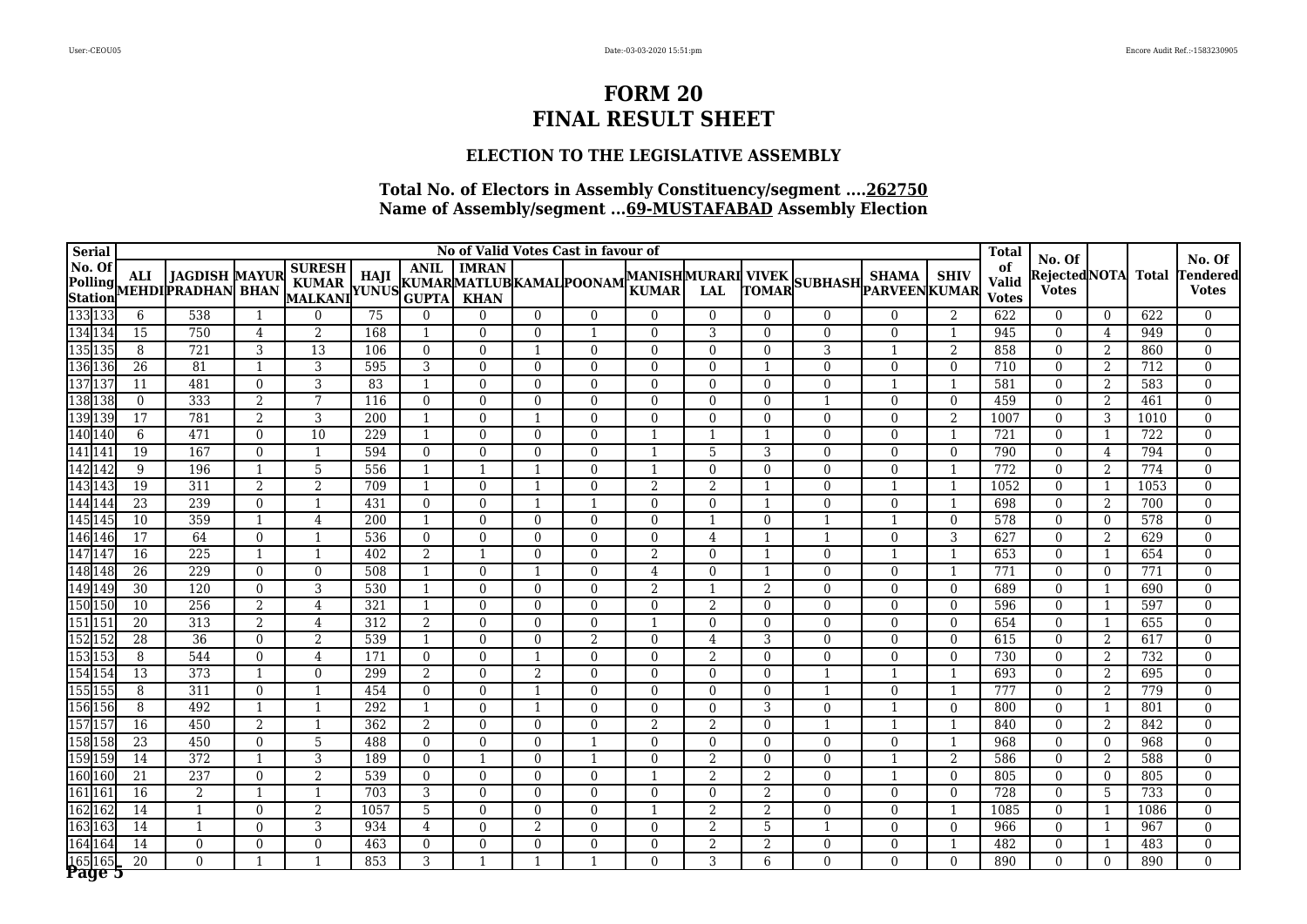### **ELECTION TO THE LEGISLATIVE ASSEMBLY**

| <b>Serial</b>     |                 |                                                   |                |                                                     |      |                |                |                | No of Valid Votes Cast in favour of |                                    |                |                          |                       |                |                | <b>Total</b>                       | No. Of                        |                |              | No. Of                   |
|-------------------|-----------------|---------------------------------------------------|----------------|-----------------------------------------------------|------|----------------|----------------|----------------|-------------------------------------|------------------------------------|----------------|--------------------------|-----------------------|----------------|----------------|------------------------------------|-------------------------------|----------------|--------------|--------------------------|
| No. Of            | ALI             | <b>JAGDISH MAYUR</b><br>Polling MEHDIPRADHAN BHAN |                | <b>SURESH</b><br>KUMAR HAJI KUMARMATLUBKAMAL POONAM |      | <b>ANIL</b>    | <b>IMRAN</b>   |                |                                     | MANISHMURARI VIVEK<br><b>KUMAR</b> | <b>LAL</b>     | TOMAR                    | SUBHASH PARVEEN KUMAR | <b>SHAMA</b>   | <b>SHIV</b>    | of<br><b>Valid</b><br><b>Votes</b> | Rejected NOTA<br><b>Votes</b> |                | <b>Total</b> | Tendered<br><b>Votes</b> |
| 133 133           | 6               | 538                                               | -1             | $\Omega$                                            | 75   | $\Omega$       | $\Omega$       | $\overline{0}$ | $\Omega$                            | $\Omega$                           | $\theta$       | $\Omega$                 | $\overline{0}$        | $\overline{0}$ | 2              | 622                                | $\overline{0}$                | $\overline{0}$ | 622          | $\mathbf{0}$             |
| 134 134           | 15              | 750                                               | 4              | $\overline{2}$                                      | 168  | -1             | $\Omega$       | $\Omega$       | -1                                  | $\Omega$                           | 3              | $\Omega$                 | $\Omega$              | $\Omega$       | -1             | 945                                | $\theta$                      | 4              | 949          | $\Omega$                 |
| 135 135           | 8               | 721                                               | 3              | $\overline{13}$                                     | 106  | $\Omega$       | $\Omega$       |                | $\Omega$                            | $\Omega$                           | $\Omega$       | $\overline{0}$           | 3                     |                | $\overline{2}$ | 858                                | $\Omega$                      | 2              | 860          | $\Omega$                 |
| 136 136           | $\overline{26}$ | 81                                                | $\mathbf{1}$   | 3                                                   | 595  | 3              | $\overline{0}$ | $\Omega$       | $\mathbf{0}$                        | $\Omega$                           | $\mathbf{0}$   |                          | $\mathbf{0}$          | $\mathbf{0}$   | $\mathbf{0}$   | 710                                | $\overline{0}$                | 2              | 712          | $\mathbf{0}$             |
| 137 137           | 11              | 481                                               | $\mathbf{0}$   | 3                                                   | 83   |                | $\Omega$       | $\Omega$       | $\Omega$                            | $\Omega$                           | $\Omega$       | $\Omega$                 | $\mathbf{0}$          |                | $\mathbf{1}$   | 581                                | $\theta$                      | 2              | 583          | $\Omega$                 |
| 138 138           | $\mathbf{0}$    | 333                                               | $\overline{2}$ | 7                                                   | 116  | $\overline{0}$ | $\Omega$       | $\Omega$       | $\Omega$                            | $\Omega$                           | $\Omega$       | $\overline{0}$           |                       | $\mathbf{0}$   | $\mathbf{0}$   | 459                                | $\mathbf{0}$                  | 2              | 461          | $\Omega$                 |
| 139 139           | 17              | 781                                               | $\overline{2}$ | 3                                                   | 200  | $\mathbf{1}$   | $\Omega$       |                | $\Omega$                            | $\Omega$                           | $\Omega$       | $\Omega$                 | $\Omega$              | $\Omega$       | $\overline{2}$ | 1007                               | $\Omega$                      | 3              | 1010         | $\Omega$                 |
| 140 140           | 6               | 471                                               | $\Omega$       | 10                                                  | 229  | $\mathbf{1}$   | $\Omega$       | $\Omega$       | $\Omega$                            |                                    |                |                          | $\Omega$              | $\Omega$       | $\overline{1}$ | 721                                | $\theta$                      | 1              | 722          | $\Omega$                 |
| 141 141           | 19              | 167                                               | $\mathbf{0}$   | $\mathbf{1}$                                        | 594  | $\overline{0}$ | $\Omega$       | $\Omega$       | $\Omega$                            |                                    | 5              | 3                        | $\mathbf{0}$          | $\mathbf{0}$   | $\mathbf{0}$   | 790                                | $\mathbf{0}$                  | $\overline{4}$ | 794          | $\mathbf{0}$             |
| 142 142           | 9               | 196                                               | $\mathbf{1}$   | 5                                                   | 556  |                |                |                | $\Omega$                            |                                    | $\Omega$       | $\Omega$                 | $\Omega$              | $\Omega$       |                | 772                                | $\Omega$                      | 2              | 774          | $\Omega$                 |
| 143 143           | 19              | 311                                               | 2              | $\overline{2}$                                      | 709  | $\mathbf{1}$   | $\theta$       |                | $\theta$                            | $\overline{2}$                     | $\overline{2}$ |                          | $\mathbf{0}$          |                | $\overline{1}$ | 1052                               | $\mathbf{0}$                  | 1              | 1053         | $\mathbf{0}$             |
| 144 144           | $\overline{23}$ | 239                                               | $\mathbf{0}$   | $\mathbf{1}$                                        | 431  | $\overline{0}$ | $\overline{0}$ |                |                                     | $\mathbf{0}$                       | $\mathbf{0}$   | $\overline{\phantom{0}}$ | $\mathbf{0}$          | $\mathbf{0}$   | $\overline{1}$ | 698                                | $\mathbf{0}$                  | 2              | 700          | $\mathbf{0}$             |
| 145 145           | 10              | 359                                               | -1             | 4                                                   | 200  | $\mathbf{1}$   | $\Omega$       | $\Omega$       | $\Omega$                            | $\Omega$                           | -1             | $\Omega$                 | $\mathbf{1}$          | $\mathbf{1}$   | $\Omega$       | 578                                | $\theta$                      | $\overline{0}$ | 578          | $\Omega$                 |
| 146 146           | $\overline{17}$ | 64                                                | $\mathbf{0}$   | $\mathbf{1}$                                        | 536  | $\overline{0}$ | $\overline{0}$ | $\overline{0}$ | $\mathbf{0}$                        | $\overline{0}$                     | 4              | $\overline{\phantom{0}}$ | $\overline{1}$        | $\mathbf{0}$   | 3              | 627                                | $\mathbf{0}$                  | 2              | 629          | $\mathbf{0}$             |
| 147 147           | 16              | 225                                               | $\mathbf{1}$   | $\mathbf{1}$                                        | 402  | 2              | $\overline{1}$ | $\overline{0}$ | $\mathbf{0}$                        | 2                                  | $\mathbf{0}$   | $\overline{1}$           | $\mathbf{0}$          | $\overline{1}$ | -1             | 653                                | $\mathbf{0}$                  | 1              | 654          | $\mathbf{0}$             |
| 148 148           | $\overline{26}$ | 229                                               | $\mathbf{0}$   | $\Omega$                                            | 508  | $\mathbf{1}$   | $\mathbf{0}$   |                | $\mathbf{0}$                        | $\overline{4}$                     | $\mathbf{0}$   | $\overline{1}$           | $\mathbf{0}$          | $\mathbf{0}$   | 1              | 771                                | $\overline{0}$                | $\overline{0}$ | 771          | $\mathbf{0}$             |
| 149 149           | $\overline{30}$ | 120                                               | $\mathbf{0}$   | 3                                                   | 530  | $\mathbf{1}$   | $\mathbf{0}$   | $\Omega$       | $\mathbf{0}$                        | 2                                  |                | $\overline{2}$           | $\mathbf{0}$          | $\mathbf{0}$   | $\mathbf{0}$   | 689                                | $\mathbf{0}$                  | 1              | 690          | $\mathbf{0}$             |
| 150 150           | 10              | 256                                               | 2              | $\overline{4}$                                      | 321  | $\mathbf{1}$   | $\Omega$       | $\Omega$       | $\Omega$                            | $\Omega$                           | 2              | $\mathbf{0}$             | $\Omega$              | $\Omega$       | $\Omega$       | 596                                | $\mathbf{0}$                  | 1              | 597          | $\mathbf{0}$             |
| 151 151           | 20              | 313                                               | $\overline{2}$ | $\overline{4}$                                      | 312  | 2              | $\Omega$       | $\Omega$       | $\Omega$                            | $\overline{1}$                     | $\theta$       | $\mathbf{0}$             | $\Omega$              | $\theta$       | $\Omega$       | 654                                | $\mathbf{0}$                  | 1              | 655          | $\mathbf{0}$             |
| 152 152           | $\overline{28}$ | $\overline{36}$                                   | $\mathbf{0}$   | $\overline{2}$                                      | 539  | $\mathbf{1}$   | $\mathbf{0}$   | $\Omega$       | $\boldsymbol{2}$                    | $\Omega$                           | 4              | 3                        | $\mathbf{0}$          | $\mathbf{0}$   | $\mathbf{0}$   | 615                                | $\mathbf{0}$                  | 2              | 617          | $\mathbf{0}$             |
| 153 153           | 8               | 544                                               | $\Omega$       | 4                                                   | 171  | $\theta$       | $\Omega$       | -1             | $\Omega$                            | $\Omega$                           | 2              | $\Omega$                 | $\Omega$              | $\Omega$       | $\Omega$       | 730                                | $\Omega$                      | 2              | 732          | $\Omega$                 |
| 154 154           | $\overline{13}$ | 373                                               | $\mathbf{1}$   | $\Omega$                                            | 299  | 2              | $\Omega$       | $\overline{2}$ | $\Omega$                            | $\Omega$                           | $\Omega$       | $\Omega$                 | $\mathbf{1}$          |                | $\overline{1}$ | 693                                | $\Omega$                      | 2              | 695          | $\mathbf{0}$             |
| 155 155           | 8               | 311                                               | $\Omega$       | $\mathbf{1}$                                        | 454  | $\theta$       | $\Omega$       | 1              | $\Omega$                            | $\Omega$                           | $\Omega$       | $\Omega$                 | $\mathbf{1}$          | $\Omega$       | $\overline{1}$ | 777                                | $\Omega$                      | 2              | 779          | $\Omega$                 |
| 156 156           | 8               | 492                                               | $\mathbf{1}$   | $\mathbf{1}$                                        | 292  | 1              | $\Omega$       |                | $\Omega$                            | $\Omega$                           | $\Omega$       | 3                        | $\Omega$              |                | $\Omega$       | 800                                | $\Omega$                      | 1              | 801          | $\mathbf{0}$             |
| 157 157           | 16              | 450                                               | $\overline{2}$ | $\mathbf{1}$                                        | 362  | 2              | $\mathbf{0}$   | $\overline{0}$ | $\Omega$                            | $\overline{2}$                     | 2              | $\overline{0}$           | $\overline{1}$        |                | $\overline{1}$ | 840                                | $\mathbf{0}$                  | 2              | 842          | $\mathbf{0}$             |
| 158 158           | $\overline{23}$ | 450                                               | $\theta$       | 5                                                   | 488  | $\Omega$       | $\Omega$       | $\Omega$       |                                     | $\Omega$                           | $\Omega$       | $\Omega$                 | $\Omega$              | $\Omega$       | -1             | 968                                | $\theta$                      | $\overline{0}$ | 968          | $\Omega$                 |
| 159 159           | 14              | 372                                               | $\mathbf{1}$   | 3                                                   | 189  | $\Omega$       | 1              | $\Omega$       |                                     | $\Omega$                           | 2              | $\overline{0}$           | $\mathbf{0}$          |                | $\overline{2}$ | 586                                | $\Omega$                      | 2              | 588          | $\theta$                 |
| 160 160           | $\overline{21}$ | 237                                               | $\mathbf{0}$   | $\overline{2}$                                      | 539  | $\Omega$       | $\overline{0}$ | $\Omega$       | $\mathbf{0}$                        |                                    | $\overline{2}$ | $\overline{2}$           | $\overline{0}$        |                | $\mathbf{0}$   | 805                                | $\mathbf{0}$                  | $\overline{0}$ | 805          | $\mathbf{0}$             |
| 161 16.           | 16              | $\overline{2}$                                    |                | -1                                                  | 703  | 3              | $\Omega$       | 0              | $\Omega$                            | $\Omega$                           | $\Omega$       | $\overline{2}$           | $\Omega$              | $\Omega$       | $\Omega$       | 728                                | $\Omega$                      | 5              | 733          | $\Omega$                 |
| 162 162           | $\overline{14}$ | $\mathbf{1}$                                      | $\mathbf{0}$   | $\overline{2}$                                      | 1057 | 5              | $\mathbf{0}$   | 0              | $\mathbf{0}$                        |                                    | $\overline{2}$ | $\overline{2}$           | $\overline{0}$        | $\mathbf{0}$   | $\mathbf{1}$   | 1085                               | $\mathbf{0}$                  | 1              | 1086         | $\mathbf{0}$             |
| 163 163           | 14              | $\mathbf{1}$                                      | $\theta$       | 3                                                   | 934  | $\overline{4}$ | $\Omega$       | 2              | $\theta$                            | $\Omega$                           | 2              | 5                        |                       | $\Omega$       | $\Omega$       | 966                                | $\Omega$                      | 1              | 967          | $\Omega$                 |
| 164 164           | 14              | $\overline{0}$                                    | $\Omega$       | $\Omega$                                            | 463  | $\Omega$       | $\Omega$       | $\Omega$       | $\Omega$                            | $\Omega$                           | 2              | $\overline{2}$           | $\mathbf{0}$          | $\Omega$       | $\overline{1}$ | 482                                | $\Omega$                      | 1              | 483          | $\mathbf{0}$             |
| 165 165<br>Page 5 | $\overline{20}$ | $\Omega$                                          | $\mathbf{1}$   | $\mathbf{1}$                                        | 853  | 3              | $\mathbf{1}$   |                |                                     | $\Omega$                           | 3              | 6                        | $\Omega$              | $\Omega$       | $\Omega$       | 890                                | $\Omega$                      | $\theta$       | 890          | $\Omega$                 |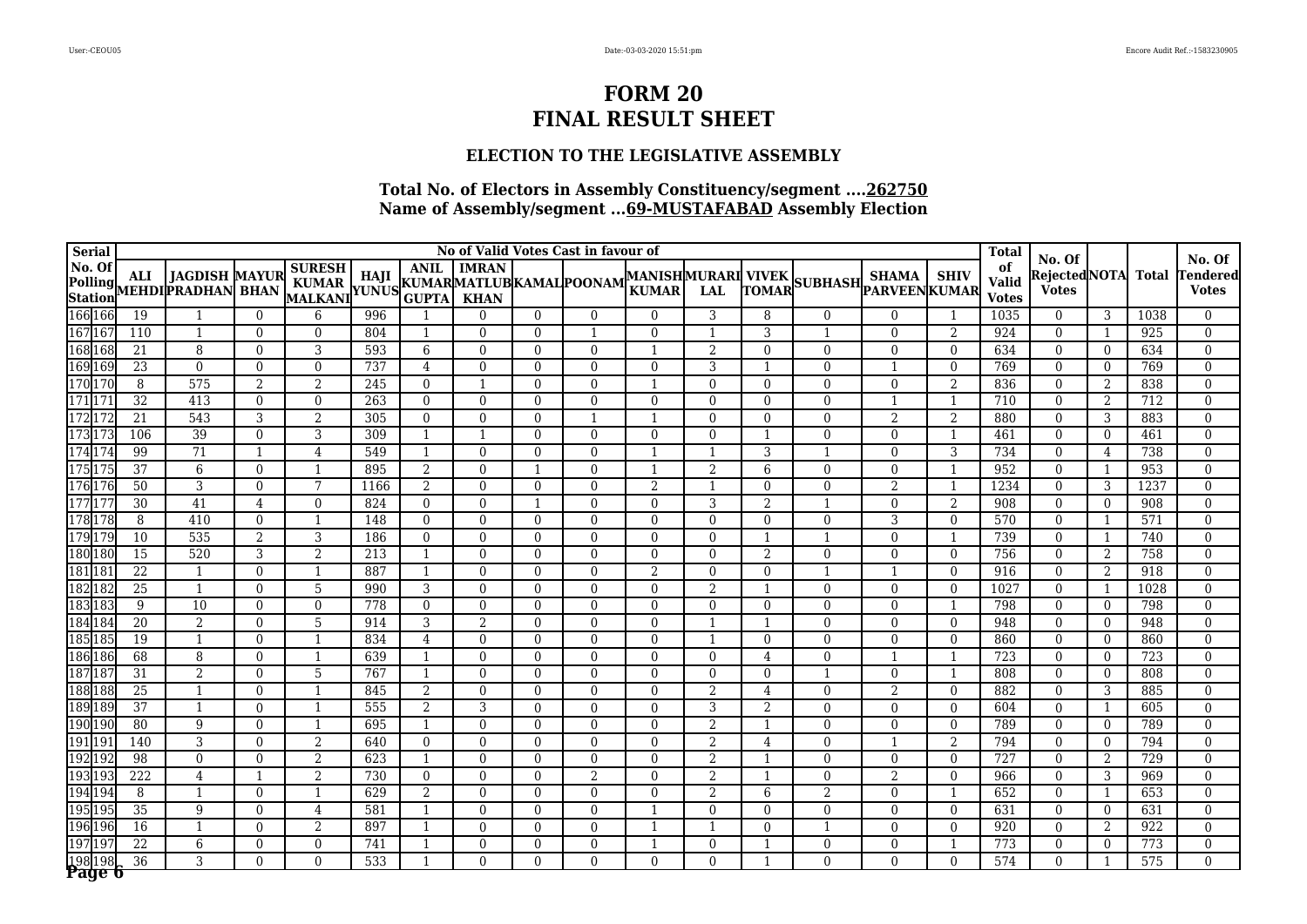### **ELECTION TO THE LEGISLATIVE ASSEMBLY**

| <b>Serial</b>     |                  |                                                                                 |                |                                                          |      |                              |                |                | No of Valid Votes Cast in favour of |                                           |                |                          |                      |                |                | <b>Total</b>                       | No. Of                        |                                |              | No. Of                  |
|-------------------|------------------|---------------------------------------------------------------------------------|----------------|----------------------------------------------------------|------|------------------------------|----------------|----------------|-------------------------------------|-------------------------------------------|----------------|--------------------------|----------------------|----------------|----------------|------------------------------------|-------------------------------|--------------------------------|--------------|-------------------------|
| No. Of            | <b>ALI</b>       | <b>JAGDISH MAYUR</b><br>Polling ALI JAGDISH MAYUR<br>Station MEHDI PRADHAN BHAN |                | <b>SURESH</b><br>KUMAR   114JI   KUMARMATLUBKAMAL POONAM |      | <b>ANIL</b>                  | <b>IMRAN</b>   |                |                                     | <b>MANISHMURARI VIVEK</b><br><b>KUMAR</b> | <b>LAL</b>     | TOMAR                    | SUBHASH PARVEENKUMAR | <b>SHAMA</b>   | <b>SHIV</b>    | of<br><b>Valid</b><br><b>Votes</b> | Rejected NOTA<br><b>Votes</b> |                                | <b>Total</b> | endered<br><b>Votes</b> |
| 166 166           | 19               |                                                                                 | $\overline{0}$ | 6                                                        | 996  |                              | $\Omega$       | $\Omega$       | $\Omega$                            | $\Omega$                                  | 3              | 8                        | $\mathbf{0}$         | $\Omega$       |                | 1035                               | $\mathbf{0}$                  | 3                              | 1038         | $\mathbf{0}$            |
| 167 167           | 110              | $\mathbf{1}$                                                                    | $\theta$       | $\Omega$                                                 | 804  |                              | $\Omega$       | $\Omega$       |                                     | $\Omega$                                  |                | 3                        |                      | $\Omega$       | 2              | 924                                | $\Omega$                      | -1                             | 925          | $\Omega$                |
| 168 168           | $\overline{21}$  | 8                                                                               | $\mathbf{0}$   | 3                                                        | 593  | 6                            | $\overline{0}$ | $\Omega$       | $\mathbf{0}$                        |                                           | 2              | $\overline{0}$           | $\mathbf{0}$         | $\mathbf{0}$   | $\mathbf{0}$   | 634                                | $\mathbf{0}$                  | $\overline{0}$                 | 634          | $\theta$                |
| 169 169           | $\overline{23}$  | $\Omega$                                                                        | $\Omega$       | $\Omega$                                                 | 737  | $\overline{4}$               | $\Omega$       | $\Omega$       | $\Omega$                            | $\Omega$                                  | 3              | $\mathbf 1$              | $\Omega$             |                | $\theta$       | 769                                | $\Omega$                      | $\overline{0}$                 | 769          | $\Omega$                |
| 170 170           | 8                | 575                                                                             | $\overline{2}$ | 2                                                        | 245  | $\overline{0}$               | $\mathbf{1}$   | $\Omega$       | $\Omega$                            |                                           | $\Omega$       | $\mathbf{0}$             | $\mathbf{0}$         | $\mathbf{0}$   | $\overline{2}$ | 836                                | $\mathbf{0}$                  | 2                              | 838          | $\Omega$                |
| 17117             | $\overline{32}$  | 413                                                                             | $\mathbf{0}$   | $\mathbf{0}$                                             | 263  | $\overline{0}$               | $\mathbf{0}$   | $\Omega$       | $\Omega$                            | $\Omega$                                  | $\Omega$       | $\overline{0}$           | $\mathbf{0}$         |                | $\mathbf{1}$   | 710                                | $\mathbf{0}$                  | 2                              | 712          | $\mathbf{0}$            |
| 172 172           | 21               | 543                                                                             | 3              | 2                                                        | 305  | $\theta$                     | $\Omega$       | $\Omega$       |                                     |                                           | $\Omega$       | $\Omega$                 | $\mathbf{0}$         | 2              | $\overline{2}$ | 880                                | $\Omega$                      | 3                              | 883          | $\Omega$                |
| 173 173           | 106              | 39                                                                              | $\mathbf{0}$   | $\overline{3}$                                           | 309  | $\mathbf{1}$                 |                | $\Omega$       | $\Omega$                            | $\Omega$                                  | $\mathbf{0}$   |                          | $\mathbf{0}$         | $\mathbf{0}$   | $\mathbf{1}$   | 461                                | $\mathbf{0}$                  | $\overline{0}$                 | 461          | $\mathbf{0}$            |
| 174 174           | 99               | $\overline{71}$                                                                 | $\mathbf{1}$   | $\overline{4}$                                           | 549  | 1                            | $\Omega$       | $\Omega$       | $\Omega$                            |                                           |                | 3                        |                      | $\Omega$       | 3              | 734                                | $\Omega$                      | $\overline{4}$                 | 738          | $\Omega$                |
| 175 175           | $\overline{37}$  | 6                                                                               | $\Omega$       | $\mathbf{1}$                                             | 895  | 2                            | $\theta$       |                | $\theta$                            | $\mathbf{1}$                              | $\overline{2}$ | 6                        | $\mathbf{0}$         | $\mathbf{0}$   | $\overline{1}$ | 952                                | $\mathbf{0}$                  | 1                              | 953          | $\mathbf{0}$            |
| 176 176           | 50               | 3                                                                               | $\mathbf{0}$   | 7                                                        | 1166 | 2                            | $\mathbf{0}$   | $\mathbf{0}$   | $\mathbf{0}$                        | 2                                         | $\mathbf{1}$   | $\mathbf{0}$             | $\mathbf{0}$         | 2              | $\overline{1}$ | 1234                               | $\mathbf{0}$                  | 3                              | 1237         | $\mathbf{0}$            |
| 177 177           | 30               | 41                                                                              | 4              | $\Omega$                                                 | 824  | $\Omega$                     | $\mathbf{0}$   | -1             | $\Omega$                            | $\Omega$                                  | 3              | 2                        | $\mathbf{1}$         | $\overline{0}$ | 2              | 908                                | $\overline{0}$                | $\overline{0}$                 | 908          | $\mathbf{0}$            |
| 178 178           | 8                | 410                                                                             | $\mathbf{0}$   | 1                                                        | 148  | $\overline{0}$               | $\mathbf{0}$   | $\overline{0}$ | $\mathbf{0}$                        | $\Omega$                                  | $\mathbf{0}$   | $\mathbf{0}$             | $\mathbf{0}$         | 3              | $\mathbf{0}$   | 570                                | $\overline{0}$                | 1                              | 571          | $\mathbf{0}$            |
| 179 179           | 10               | 535                                                                             | 2              | 3                                                        | 186  | $\Omega$                     | $\mathbf{0}$   | $\Omega$       | $\Omega$                            | $\Omega$                                  | $\Omega$       | $\mathbf 1$              | $\mathbf{1}$         | $\Omega$       | $\overline{1}$ | 739                                | $\Omega$                      | 1                              | 740          | $\mathbf{0}$            |
| 180 180           | 15               | 520                                                                             | 3              | $\overline{2}$                                           | 213  | $\mathbf{1}$                 | $\mathbf{0}$   | $\Omega$       | $\mathbf{0}$                        | $\Omega$                                  | $\mathbf{0}$   | 2                        | $\mathbf{0}$         | $\mathbf{0}$   | $\mathbf{0}$   | 756                                | $\mathbf{0}$                  | 2                              | 758          | $\mathbf{0}$            |
| 181 181           | $\overline{22}$  | $\mathbf{1}$                                                                    | $\mathbf{0}$   | $\mathbf{1}$                                             | 887  | 1                            | $\mathbf{0}$   | $\Omega$       | $\Omega$                            | 2                                         | $\mathbf{0}$   | $\mathbf{0}$             | $\overline{1}$       | $\overline{1}$ | $\Omega$       | 916                                | $\mathbf{0}$                  | 2                              | 918          | $\mathbf{0}$            |
| 182 182           | $\overline{25}$  | $\overline{1}$                                                                  | $\Omega$       | 5                                                        | 990  | 3                            | $\mathbf{0}$   | $\Omega$       | $\mathbf{0}$                        | $\Omega$                                  | 2              | $\overline{\phantom{0}}$ | $\mathbf{0}$         | $\Omega$       | $\Omega$       | 1027                               | $\overline{0}$                | 1                              | 1028         | $\mathbf{0}$            |
| 183 183           | $\boldsymbol{9}$ | 10                                                                              | $\Omega$       | $\Omega$                                                 | 778  | $\Omega$                     | $\Omega$       | $\Omega$       | $\Omega$                            | $\Omega$                                  | $\Omega$       | $\mathbf{0}$             | $\Omega$             | $\theta$       | $\mathbf{1}$   | 798                                | $\mathbf{0}$                  | $\overline{0}$                 | 798          | $\mathbf{0}$            |
| 184 184           | 20               | 2                                                                               | $\Omega$       | 5                                                        | 914  | 3                            | 2              | $\Omega$       | $\Omega$                            | $\Omega$                                  | -1             | -1                       | $\Omega$             | $\Omega$       | $\Omega$       | 948                                | $\Omega$                      | $\Omega$                       | 948          | $\Omega$                |
| 185 185           | 19               | $\overline{1}$                                                                  | $\Omega$       | $\mathbf{1}$                                             | 834  | $\overline{4}$               | $\theta$       | $\Omega$       | $\Omega$                            | $\Omega$                                  |                | $\Omega$                 | $\Omega$             | $\mathbf{0}$   | $\Omega$       | 860                                | $\Omega$                      | $\overline{0}$                 | 860          | $\mathbf{0}$            |
| 186 186           | 68               | 8                                                                               | $\Omega$       | $\mathbf{1}$                                             | 639  | $\mathbf{1}$                 | $\Omega$       | $\Omega$       | $\Omega$                            | $\Omega$                                  | $\Omega$       | $\overline{4}$           | $\Omega$             |                | -1             | $\overline{723}$                   | $\Omega$                      | $\overline{0}$                 | 723          | $\mathbf{0}$            |
| 187187            | $\overline{31}$  | $\overline{2}$                                                                  | $\Omega$       | 5                                                        | 767  | 1                            | $\Omega$       | $\Omega$       | $\Omega$                            | $\Omega$                                  | $\Omega$       | $\Omega$                 | $\mathbf{1}$         | $\Omega$       | -1             | 808                                | $\theta$                      | $\overline{0}$                 | 808          | $\Omega$                |
| 188 188           | $\overline{25}$  | $\mathbf{1}$                                                                    | $\Omega$       | $\mathbf{1}$                                             | 845  | 2                            | $\Omega$       | $\Omega$       | $\Omega$                            | $\Omega$                                  | 2              | $\overline{4}$           | $\Omega$             | $\overline{2}$ | $\mathbf{0}$   | 882                                | $\Omega$                      | 3                              | 885          | $\mathbf{0}$            |
| 189 189           | 37               | $\overline{1}$                                                                  | $\Omega$       | -1                                                       | 555  | 2                            | 3              | $\Omega$       | $\Omega$                            | $\Omega$                                  | 3              | $\overline{2}$           | $\Omega$             | $\Omega$       | $\Omega$       | 604                                | $\theta$                      | -1                             | 605          | $\Omega$                |
| 190 190           | 80               | 9                                                                               | $\Omega$       | $\mathbf{1}$                                             | 695  | 1                            | $\Omega$       | $\Omega$       | $\Omega$                            | $\Omega$                                  | 2              | $\mathbf 1$              | $\mathbf{0}$         | $\Omega$       | $\Omega$       | 789                                | $\Omega$                      | $\overline{0}$                 | 789          | $\Omega$                |
| 191197            | 140              | 3                                                                               | $\mathbf{0}$   | $\boldsymbol{2}$                                         | 640  | $\overline{0}$               | $\overline{0}$ | $\Omega$       | $\mathbf{0}$                        | $\Omega$                                  | $\overline{2}$ | 4                        | $\mathbf{0}$         |                | $\overline{2}$ | 794                                | $\overline{0}$                | $\overline{0}$                 | 794          | $\mathbf{0}$            |
| 192 192           | 98               | $\overline{0}$                                                                  | $\Omega$       | $\overline{2}$                                           | 623  | $\mathbf{1}$                 | $\Omega$       | $\Omega$       | $\Omega$                            | $\Omega$                                  | 2              |                          | $\Omega$             | $\Omega$       | $\Omega$       | 727                                | $\Omega$                      | 2                              | 729          | $\Omega$                |
| 193 19            | $\overline{222}$ | $\overline{4}$                                                                  |                | $\overline{2}$                                           | 730  | $\Omega$                     | $\Omega$       | 0              | $\overline{2}$                      | $\Omega$                                  | $\overline{2}$ |                          | $\overline{0}$       | $\overline{2}$ | $\Omega$       | 966                                | $\Omega$                      | 3                              | 969          | $\theta$                |
| 194 194           | 8                | $\mathbf{1}$                                                                    | $\Omega$       | 1                                                        | 629  | 2                            | $\Omega$       | 0              | $\Omega$                            | $\Omega$                                  | 2              | 6                        | $\overline{2}$       | $\Omega$       | $\mathbf{1}$   | 652                                | $\Omega$                      | 1                              | 653          | $\Omega$                |
| 195 195           | $\overline{35}$  | 9                                                                               | $\mathbf{0}$   | $\overline{4}$                                           | 581  |                              | $\Omega$       | 0              | $\Omega$                            |                                           | $\Omega$       | $\theta$                 | $\overline{0}$       | $\mathbf{0}$   | $\mathbf{0}$   | 631                                | $\mathbf{0}$                  | $\overline{0}$                 | 631          | $\Omega$                |
| 196 196           | 16               | $\mathbf{1}$                                                                    | $\theta$       | $\overline{2}$                                           | 897  |                              | $\Omega$       | $\Omega$       | $\Omega$                            |                                           |                | $\theta$                 | $\overline{1}$       | $\Omega$       | $\theta$       | 920                                | $\mathbf{0}$                  | 2                              | 922          | $\Omega$                |
| 19719             | 22               | 6                                                                               | $\mathbf{0}$   | $\Omega$                                                 | 741  | $\mathbf{1}$<br>$\mathbf{1}$ | $\Omega$       | $\Omega$       | $\Omega$<br>$\Omega$                |                                           | $\Omega$       |                          | $\mathbf{0}$         | $\Omega$       | $\overline{1}$ | 773                                | $\theta$                      | $\overline{0}$<br>$\mathbf{1}$ | 773          | $\mathbf{0}$            |
| 198 198<br>Page 6 | $\overline{36}$  | 3                                                                               | $\Omega$       | $\Omega$                                                 | 533  |                              | $\Omega$       | $\Omega$       |                                     | $\Omega$                                  | $\theta$       |                          | $\Omega$             | $\Omega$       | $\Omega$       | 574                                | $\Omega$                      |                                | 575          | $\Omega$                |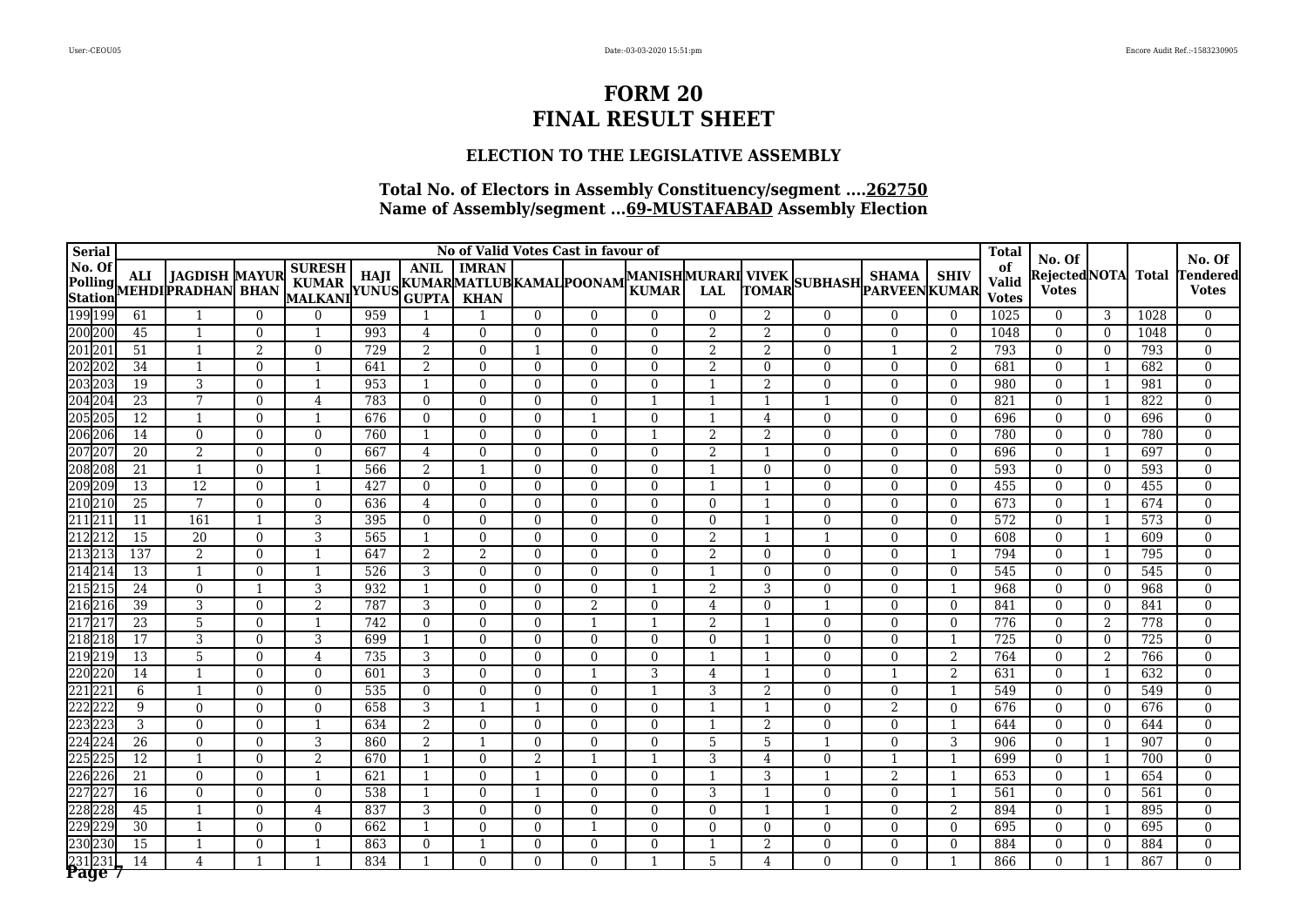### **ELECTION TO THE LEGISLATIVE ASSEMBLY**

| <b>Serial</b> |                 |                                                                                 |                |                                                           |     |                |                |              | No of Valid Votes Cast in favour of |                                           |                |                          |                       |                |                | <b>Total</b>                       | No. Of                        |                |              | No. Of                  |
|---------------|-----------------|---------------------------------------------------------------------------------|----------------|-----------------------------------------------------------|-----|----------------|----------------|--------------|-------------------------------------|-------------------------------------------|----------------|--------------------------|-----------------------|----------------|----------------|------------------------------------|-------------------------------|----------------|--------------|-------------------------|
| No. Of        | <b>ALI</b>      | <b>JAGDISH MAYUR</b><br>Polling ALI JAGDISH MAYUR<br>Station MEHDI PRADHAN BHAN |                | <b>SURESH</b><br>KUMAR   114JI   KUMARMATLUB KAMAL POONAM |     | <b>ANIL</b>    | <b>IMRAN</b>   |              |                                     | <b>MANISHMURARI VIVEK</b><br><b>KUMAR</b> | <b>LAL</b>     | TOMAR                    | SUBHASH BARVEEN KUMAR | <b>SHAMA</b>   | <b>SHIV</b>    | of<br><b>Valid</b><br><b>Votes</b> | Rejected NOTA<br><b>Votes</b> |                | <b>Total</b> | endered<br><b>Votes</b> |
| 199 199       | 61              |                                                                                 | $\overline{0}$ | $\Omega$                                                  | 959 |                |                | $\Omega$     | $\Omega$                            | $\Omega$                                  | $\theta$       | $\overline{2}$           | $\mathbf{0}$          | $\mathbf{0}$   | $\mathbf{0}$   | 1025                               | $\mathbf{0}$                  | 3              | 1028         | $\Omega$                |
| 200 200       | 45              | $\mathbf{1}$                                                                    | $\theta$       |                                                           | 993 | $\overline{4}$ | $\Omega$       | $\Omega$     | $\Omega$                            | $\Omega$                                  | 2              | $\overline{2}$           | $\Omega$              | $\Omega$       | $\Omega$       | 1048                               | $\theta$                      | $\overline{0}$ | 1048         | $\Omega$                |
| 201 201       | $\overline{51}$ | $\mathbf{1}$                                                                    | $\overline{2}$ | $\Omega$                                                  | 729 | $\overline{2}$ | $\mathbf{0}$   |              | $\Omega$                            | $\Omega$                                  | 2              | $\overline{2}$           | $\overline{0}$        |                | $\overline{2}$ | 793                                | $\mathbf{0}$                  | $\overline{0}$ | 793          | $\Omega$                |
| 202202        | 34              | $\overline{1}$                                                                  | $\Omega$       | -1                                                        | 641 | 2              | $\Omega$       | $\Omega$     | $\Omega$                            | $\Omega$                                  | 2              | $\overline{0}$           | $\Omega$              | $\Omega$       | $\Omega$       | 681                                | $\Omega$                      | 1              | 682          | $\Omega$                |
| 203203        | 19              | 3                                                                               | $\Omega$       | $\mathbf{1}$                                              | 953 | $\mathbf{1}$   | $\Omega$       | $\Omega$     | $\Omega$                            | $\Omega$                                  |                | $\overline{2}$           | $\mathbf{0}$          | $\Omega$       | $\Omega$       | 980                                | $\Omega$                      | 1              | 981          | $\Omega$                |
| 204 204       | $\overline{23}$ | $7\phantom{.}$                                                                  | $\mathbf{0}$   | $\overline{4}$                                            | 783 | $\overline{0}$ | $\overline{0}$ | $\Omega$     | $\Omega$                            | -1                                        |                |                          | $\mathbf{1}$          | $\mathbf{0}$   | $\mathbf{0}$   | 821                                | $\mathbf{0}$                  | $\mathbf{1}$   | 822          | $\mathbf{0}$            |
| 205 205       | $\overline{12}$ | $\overline{1}$                                                                  | $\Omega$       | $\mathbf{1}$                                              | 676 | $\Omega$       | $\Omega$       | $\Omega$     |                                     | $\Omega$                                  |                | $\overline{4}$           | $\mathbf{0}$          | $\Omega$       | $\Omega$       | 696                                | $\Omega$                      | $\overline{0}$ | 696          | $\Omega$                |
| 206 206       | $\overline{14}$ | $\mathbf{0}$                                                                    | $\Omega$       | $\Omega$                                                  | 760 | $\mathbf{1}$   | $\overline{0}$ | $\Omega$     | $\Omega$                            |                                           | $\overline{2}$ | $\mathbf{2}$             | $\mathbf{0}$          | $\mathbf{0}$   | $\Omega$       | 780                                | $\mathbf{0}$                  | $\overline{0}$ | 780          | $\mathbf{0}$            |
| 207 207       | $\overline{20}$ | 2                                                                               | $\Omega$       | $\Omega$                                                  | 667 | $\overline{4}$ | $\Omega$       | $\Omega$     | $\Omega$                            | $\Omega$                                  | $\overline{2}$ | $\mathbf 1$              | $\Omega$              | $\Omega$       | $\Omega$       | 696                                | $\Omega$                      | 1              | 697          | $\Omega$                |
| 208 208       | 21              | $\overline{1}$                                                                  | $\Omega$       | $\mathbf{1}$                                              | 566 | 2              | $\overline{1}$ | $\Omega$     | $\Omega$                            | $\Omega$                                  |                | $\overline{0}$           | $\mathbf{0}$          | $\mathbf{0}$   | $\theta$       | 593                                | $\mathbf{0}$                  | $\overline{0}$ | 593          | $\mathbf{0}$            |
| 209 209       | $\overline{13}$ | $\overline{12}$                                                                 | $\mathbf{0}$   | $\mathbf{1}$                                              | 427 | $\overline{0}$ | $\mathbf{0}$   | $\mathbf{0}$ | $\mathbf{0}$                        | $\overline{0}$                            | -1             | $\overline{\phantom{a}}$ | $\mathbf{0}$          | $\mathbf{0}$   | $\mathbf{0}$   | 455                                | $\mathbf{0}$                  | $\overline{0}$ | 455          | $\mathbf{0}$            |
| 210210        | 25              | $\overline{7}$                                                                  | $\theta$       | $\overline{0}$                                            | 636 | 4              | $\mathbf{0}$   | $\Omega$     | $\Omega$                            | $\Omega$                                  | $\theta$       | -1                       | $\overline{0}$        | $\overline{0}$ | $\Omega$       | 673                                | $\overline{0}$                | 1              | 674          | $\mathbf{0}$            |
| 211211        | $\overline{11}$ | 161                                                                             | $\mathbf{1}$   | 3                                                         | 395 | $\overline{0}$ | $\mathbf{0}$   | $\Omega$     | $\mathbf{0}$                        | $\overline{0}$                            | $\mathbf{0}$   | -1                       | $\mathbf{0}$          | $\mathbf{0}$   | $\mathbf{0}$   | 572                                | $\overline{0}$                | 1              | 573          | $\mathbf{0}$            |
| 212 212       | $\overline{15}$ | $\overline{20}$                                                                 | $\Omega$       | 3                                                         | 565 | $\mathbf{1}$   | $\mathbf{0}$   | $\Omega$     | $\Omega$                            | $\Omega$                                  | 2              | $\overline{\phantom{0}}$ | $\mathbf{1}$          | $\Omega$       | $\Omega$       | 608                                | $\Omega$                      | 1              | 609          | $\mathbf{0}$            |
| 213213        | 137             | $\overline{2}$                                                                  | $\Omega$       | $\mathbf{1}$                                              | 647 | 2              | 2              | $\Omega$     | $\mathbf{0}$                        | $\Omega$                                  | 2              | $\mathbf{0}$             | $\mathbf{0}$          | $\Omega$       | $\overline{1}$ | 794                                | $\mathbf{0}$                  | 1              | 795          | $\mathbf{0}$            |
| 214 214       | $\overline{13}$ | $\mathbf{1}$                                                                    | $\Omega$       | $\mathbf{1}$                                              | 526 | 3              | $\overline{0}$ | $\Omega$     | $\Omega$                            | $\Omega$                                  | $\mathbf{1}$   | $\mathbf{0}$             | $\mathbf{0}$          | $\Omega$       | $\mathbf{0}$   | 545                                | $\mathbf{0}$                  | $\overline{0}$ | 545          | $\mathbf{0}$            |
| 215 215       | $\overline{24}$ | $\mathbf{0}$                                                                    | $\mathbf{1}$   | 3                                                         | 932 | $\mathbf{1}$   | $\Omega$       | $\Omega$     | $\mathbf{0}$                        |                                           | 2              | 3                        | $\Omega$              | $\mathbf{0}$   | $\overline{1}$ | 968                                | $\overline{0}$                | $\overline{0}$ | 968          | $\mathbf{0}$            |
| 216216        | 39              | $\overline{3}$                                                                  | $\Omega$       | $\overline{2}$                                            | 787 | 3              | $\Omega$       | $\Omega$     | 2                                   | $\Omega$                                  | $\overline{4}$ | $\mathbf{0}$             | $\overline{1}$        | $\Omega$       | $\mathbf{0}$   | 841                                | $\mathbf{0}$                  | $\overline{0}$ | 841          | $\mathbf{0}$            |
| 217 217       | $\overline{23}$ | 5                                                                               | $\Omega$       | $\mathbf{1}$                                              | 742 | $\Omega$       | $\Omega$       | $\Omega$     | -1                                  | $\mathbf{1}$                              | 2              | -1                       | $\Omega$              | $\Omega$       | $\Omega$       | 776                                | $\Omega$                      | 2              | 778          | $\Omega$                |
| 218 218       | $\overline{17}$ | 3                                                                               | $\Omega$       | 3                                                         | 699 | $\mathbf{1}$   | $\theta$       | $\Omega$     | $\Omega$                            | $\Omega$                                  | $\Omega$       | $\overline{\phantom{a}}$ | $\Omega$              | $\mathbf{0}$   | $\overline{1}$ | 725                                | $\Omega$                      | $\overline{0}$ | 725          | $\mathbf{0}$            |
| 219 219       | $\overline{13}$ | 5                                                                               | $\mathbf{0}$   | $\overline{4}$                                            | 735 | 3              | $\Omega$       | $\Omega$     | $\Omega$                            | $\Omega$                                  |                | -1                       | $\Omega$              | $\mathbf{0}$   | $\overline{2}$ | 764                                | $\Omega$                      | 2              | 766          | $\mathbf{0}$            |
| 220 220       | 14              | $\mathbf{1}$                                                                    | $\Omega$       | $\Omega$                                                  | 601 | 3              | $\Omega$       | $\Omega$     |                                     | 3                                         | 4              | $\overline{\phantom{a}}$ | $\Omega$              |                | 2              | 631                                | $\theta$                      | 1              | 632          | $\Omega$                |
| 221223        | 6               | $\mathbf{1}$                                                                    | $\Omega$       | $\Omega$                                                  | 535 | $\Omega$       | $\Omega$       | $\Omega$     | $\Omega$                            |                                           | 3              | $\overline{2}$           | $\Omega$              | $\Omega$       | $\mathbf{1}$   | 549                                | $\Omega$                      | $\overline{0}$ | 549          | $\mathbf{0}$            |
| 222222        | 9               | $\Omega$                                                                        | $\Omega$       | $\Omega$                                                  | 658 | 3              | -1             |              | $\Omega$                            | $\Omega$                                  |                | $\overline{1}$           | $\Omega$              | $\overline{2}$ | $\Omega$       | 676                                | $\theta$                      | $\Omega$       | 676          | $\Omega$                |
| 223223        | 3               | $\overline{0}$                                                                  | $\Omega$       | $\mathbf{1}$                                              | 634 | 2              | $\Omega$       | $\Omega$     | $\Omega$                            | $\Omega$                                  | $\mathbf{1}$   | $\overline{2}$           | $\Omega$              | $\Omega$       | $\mathbf{1}$   | 644                                | $\Omega$                      | $\overline{0}$ | 644          | $\Omega$                |
| 224 224       | $\overline{26}$ | $\overline{0}$                                                                  | $\mathbf{0}$   | 3                                                         | 860 | 2              | $\mathbf{1}$   | $\Omega$     | $\mathbf{0}$                        | $\Omega$                                  | 5              | 5                        |                       | $\mathbf{0}$   | 3              | 906                                | $\overline{0}$                | -1             | 907          | $\mathbf{0}$            |
| 225225        | 12              | $\mathbf{1}$                                                                    | $\Omega$       | $\overline{2}$                                            | 670 | $\mathbf{1}$   | $\Omega$       | 2            |                                     |                                           | 3              | 4                        | $\Omega$              |                | $\mathbf{1}$   | 699                                | $\Omega$                      | 1              | 700          | $\Omega$                |
| 226226        | $\overline{21}$ | $\overline{0}$                                                                  | $\Omega$       |                                                           | 621 |                | $\Omega$       |              | $\Omega$                            | $\Omega$                                  |                | 3                        |                       | $\overline{2}$ |                | 653                                | $\Omega$                      | -1             | 654          | $\theta$                |
| 22722         | 16              | $\Omega$                                                                        | $\Omega$       | $\Omega$                                                  | 538 |                | $\Omega$       |              | $\Omega$                            | $\Omega$                                  | 3              |                          | $\Omega$              | $\Omega$       | $\overline{1}$ | 561                                | $\Omega$                      | $\overline{0}$ | 561          | $\Omega$                |
| 228 228       | 45              | $\mathbf{1}$                                                                    | $\mathbf{0}$   | $\overline{4}$                                            | 837 | 3              | $\mathbf{0}$   | 0            | $\Omega$                            | $\Omega$                                  | $\Omega$       |                          |                       | $\mathbf{0}$   | $\overline{2}$ | 894                                | $\mathbf{0}$                  | 1              | 895          | $\Omega$                |
| 229 229       | 30              | $\mathbf{1}$                                                                    | $\Omega$       | $\Omega$                                                  | 662 | $\mathbf{1}$   | $\Omega$       | $\Omega$     |                                     | $\Omega$                                  | $\Omega$       | $\theta$                 | $\mathbf{0}$          | $\mathbf{0}$   | $\mathbf{0}$   | 695                                | $\mathbf{0}$                  | $\overline{0}$ | 695          | $\theta$                |
| 230230        | 15              | $\mathbf{1}$                                                                    | $\Omega$       | $\mathbf{1}$                                              | 863 | $\Omega$       | $\mathbf{1}$   | $\Omega$     | $\Omega$                            | $\Omega$                                  |                | $\overline{2}$           | $\mathbf{0}$          | $\Omega$       | $\Omega$       | 884                                | $\Omega$                      | $\overline{0}$ | 884          | $\mathbf{0}$            |
| 231231        | $\overline{14}$ | 4                                                                               | $\mathbf{1}$   | $\mathbf{1}$                                              | 834 | $\mathbf{1}$   | $\theta$       | $\Omega$     | $\Omega$                            | $\mathbf{1}$                              | 5              | $\overline{4}$           | $\Omega$              | $\Omega$       | $\mathbf{1}$   | 866                                | $\Omega$                      | $\mathbf{1}$   | 867          | $\Omega$                |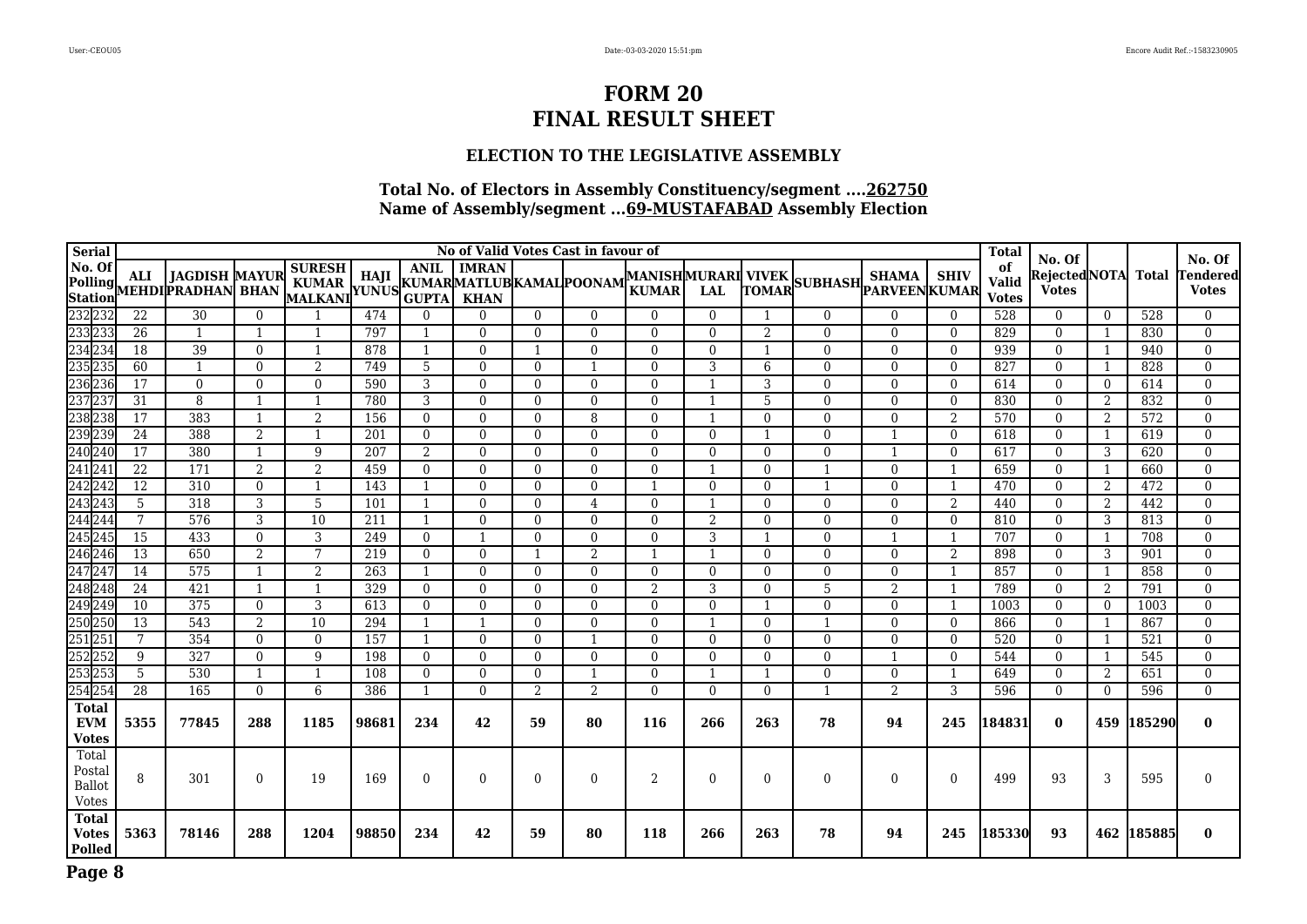### **ELECTION TO THE LEGISLATIVE ASSEMBLY**

| <b>Serial</b>                                    |                 |                                                         |                |                                          |       |                             |                             |              | No of Valid Votes Cast in favour of |                                           |          |                |                |                                 |                | <b>Total</b>                | No. Of                        |                |              | No. Of                   |
|--------------------------------------------------|-----------------|---------------------------------------------------------|----------------|------------------------------------------|-------|-----------------------------|-----------------------------|--------------|-------------------------------------|-------------------------------------------|----------|----------------|----------------|---------------------------------|----------------|-----------------------------|-------------------------------|----------------|--------------|--------------------------|
| No. Of<br>Polling<br>Station                     | ALI             | <b>JAGDISH MAYUR</b><br>MEHDI <mark>PRADHAN</mark> BHAN |                | <b>SURESH</b><br><b>KUMAR</b><br>MALKANI |       | <b>ANIL</b><br><b>GUPTA</b> | <b>IMRAN</b><br><b>KHAN</b> |              | TUNUS KUMARMATLUB KAMAL POONAM      | <b>MANISHMURARI VIVEK</b><br><b>KUMAR</b> | LAL      | <b>TOMAR</b>   | <b>SUBHASH</b> | <b>SHAMA</b><br>' PARVEEN KUMAR | <b>SHIV</b>    | of<br>Valid<br><b>Votes</b> | Rejected NOTA<br><b>Votes</b> |                | <b>Total</b> | Tendered<br><b>Votes</b> |
| 232 232                                          | $\overline{22}$ | 30                                                      | $\overline{0}$ |                                          | 474   | $\Omega$                    | $\Omega$                    | $\Omega$     | $\Omega$                            | $\Omega$                                  | $\Omega$ | -1             | $\overline{0}$ | $\Omega$                        | $\theta$       | 528                         | $\Omega$                      | $\theta$       | 528          | $\Omega$                 |
| 233233                                           | 26              | 1                                                       | 1              | -1                                       | 797   | -1                          | $\theta$                    | $\Omega$     | $\Omega$                            | $\Omega$                                  | $\Omega$ | 2              | $\overline{0}$ | $\Omega$                        | $\overline{0}$ | 829                         | $\Omega$                      | 1              | 830          | $\mathbf{0}$             |
| 234 234                                          | 18              | $\overline{39}$                                         | $\Omega$       |                                          | 878   | $\overline{1}$              | $\Omega$                    |              | $\Omega$                            | $\Omega$                                  | $\Omega$ | $\overline{1}$ | $\mathbf{0}$   | $\Omega$                        | $\Omega$       | 939                         | $\Omega$                      | 1              | 940          | $\theta$                 |
| 235235                                           | 60              | $\mathbf{1}$                                            | $\Omega$       | 2                                        | 749   | 5                           | $\mathbf{0}$                | $\Omega$     |                                     | $\Omega$                                  | 3        | 6              | $\bf{0}$       | $\Omega$                        | $\Omega$       | 827                         | $\Omega$                      | 1              | 828          | $\mathbf{0}$             |
| 236236                                           | 17              | $\mathbf{0}$                                            | $\mathbf{0}$   | $\Omega$                                 | 590   | 3                           | $\mathbf{0}$                | $\Omega$     | $\Omega$                            | $\Omega$                                  | -1       | 3              | $\bf{0}$       | $\Omega$                        | $\overline{0}$ | 614                         | $\overline{0}$                | $\overline{0}$ | 614          | $\mathbf{0}$             |
| 237237                                           | 31              | 8                                                       | $\mathbf{1}$   |                                          | 780   | 3                           | $\Omega$                    | $\Omega$     | $\Omega$                            | $\Omega$                                  |          | 5              | $\mathbf{0}$   | $\Omega$                        | $\Omega$       | 830                         | $\Omega$                      | 2              | 832          | $\Omega$                 |
| 238238                                           | 17              | 383                                                     | $\mathbf{1}$   | 2                                        | 156   | $\Omega$                    | $\mathbf{0}$                | $\Omega$     | 8                                   | $\Omega$                                  |          | $\Omega$       | $\mathbf{0}$   | $\Omega$                        | $\overline{2}$ | 570                         | $\Omega$                      | 2              | 572          | $\mathbf{0}$             |
| 239239                                           | 24              | 388                                                     | 2              |                                          | 201   | $\mathbf{0}$                | $\mathbf{0}$                | $\Omega$     | $\Omega$                            | $\Omega$                                  | $\Omega$ | -1             | $\overline{0}$ |                                 | $\overline{0}$ | 618                         | $\Omega$                      | 1              | 619          | $\mathbf{0}$             |
| 240240                                           | 17              | 380                                                     | $\mathbf{1}$   | 9                                        | 207   | 2                           | $\Omega$                    | 0            | $\Omega$                            | $\Omega$                                  | $\Omega$ | $\Omega$       | $\Omega$       |                                 | $\Omega$       | 617                         | $\theta$                      | 3              | 620          | $\Omega$                 |
| 241241                                           | $\overline{22}$ | 171                                                     | 2              | $\overline{2}$                           | 459   | $\Omega$                    | $\Omega$                    | $\Omega$     | $\Omega$                            | $\Omega$                                  | -1       | $\Omega$       | 1              | $\Omega$                        | $\mathbf{1}$   | 659                         | $\Omega$                      | 1              | 660          | $\mathbf{0}$             |
| 242242                                           | $\overline{12}$ | 310                                                     | $\mathbf{0}$   | $\mathbf{1}$                             | 143   | $\overline{1}$              | $\Omega$                    | $\Omega$     | $\Omega$                            | $\mathbf{1}$                              | $\Omega$ | $\theta$       | 1              | $\Omega$                        | $\overline{1}$ | 470                         | $\theta$                      | 2              | 472          | $\mathbf{0}$             |
| 243243                                           | $\overline{5}$  | 318                                                     | 3              | 5                                        | 101   | $\overline{1}$              | $\Omega$                    | $\Omega$     | $\overline{4}$                      | $\Omega$                                  | -1       | $\theta$       | $\Omega$       | $\Omega$                        | $\overline{2}$ | 440                         | $\Omega$                      | 2              | 442          | $\mathbf{0}$             |
| 244 244                                          | 7               | 576                                                     | 3              | 10                                       | 211   | -1                          | $\Omega$                    | $\Omega$     | $\mathbf{0}$                        | $\Omega$                                  | 2        | $\overline{0}$ | $\mathbf{0}$   | $\Omega$                        | $\overline{0}$ | 810                         | $\Omega$                      | 3              | 813          | $\mathbf{0}$             |
| 245245                                           | 15              | 433                                                     | $\mathbf{0}$   | 3                                        | 249   | $\mathbf{0}$                | -1                          | $\mathbf{0}$ | $\mathbf{0}$                        | $\overline{0}$                            | 3        |                | $\mathbf{0}$   | -1                              | -1             | 707                         | $\mathbf{0}$                  | 1              | 708          | $\mathbf{0}$             |
| 246246                                           | 13              | 650                                                     | 2              | 7                                        | 219   | $\theta$                    | $\Omega$                    |              | 2                                   | $\mathbf{1}$                              | -1       | $\theta$       | $\mathbf{0}$   | $\Omega$                        | 2              | 898                         | $\Omega$                      | 3              | 901          | $\Omega$                 |
| 247247                                           | $\overline{14}$ | 575                                                     | $\mathbf{1}$   | 2                                        | 263   | $\overline{\mathbf{1}}$     | $\Omega$                    | $\Omega$     | $\Omega$                            | $\Omega$                                  | $\Omega$ | $\Omega$       | $\mathbf{0}$   | $\Omega$                        | -1             | 857                         | $\Omega$                      | 1              | 858          | $\Omega$                 |
| 248248                                           | 24              | 421                                                     |                |                                          | 329   | $\Omega$                    | $\Omega$                    | $\Omega$     | $\Omega$                            | 2                                         | 3        | $\Omega$       | 5              | 2                               | $\mathbf{1}$   | 789                         | $\Omega$                      | 2              | 791          | $\Omega$                 |
| 249249                                           | 10              | 375                                                     | $\mathbf{0}$   | 3                                        | 613   | $\Omega$                    | $\Omega$                    | $\Omega$     | $\Omega$                            | $\Omega$                                  | $\Omega$ |                | $\mathbf{0}$   | $\Omega$                        | $\overline{1}$ | 1003                        | $\theta$                      | $\overline{0}$ | 1003         | $\Omega$                 |
| 250250                                           | $\overline{13}$ | 543                                                     | $\overline{2}$ | 10                                       | 294   | -1                          |                             | $\Omega$     | $\Omega$                            | $\Omega$                                  |          | $\Omega$       | 1              | $\theta$                        | $\mathbf{0}$   | 866                         | $\overline{0}$                | 1              | 867          | $\mathbf{0}$             |
| 251251                                           | 7               | 354                                                     | $\Omega$       | $\Omega$                                 | 157   | -1                          | $\Omega$                    | $\Omega$     |                                     | $\Omega$                                  | $\Omega$ | $\Omega$       | $\mathbf{0}$   | $\Omega$                        | $\Omega$       | 520                         | $\Omega$                      | 1              | 521          | $\Omega$                 |
| 252252                                           | 9               | 327                                                     | $\mathbf{0}$   | 9                                        | 198   | $\Omega$                    | $\mathbf{0}$                | $\Omega$     | $\Omega$                            | $\Omega$                                  | $\Omega$ | $\Omega$       | $\mathbf{0}$   | -1                              | $\theta$       | 544                         | $\Omega$                      | 1              | 545          | $\Omega$                 |
| 253253                                           | $\overline{5}$  | 530                                                     | 1              | 1                                        | 108   | $\Omega$                    | $\mathbf{0}$                | $\Omega$     |                                     | $\overline{0}$                            |          |                | $\bf{0}$       | $\mathbf{0}$                    | -1             | 649                         | $\overline{0}$                | 2              | 651          | $\mathbf{0}$             |
| 254254                                           | $\overline{28}$ | 165                                                     | $\theta$       | 6                                        | 386   | -1                          | $\Omega$                    | 2            | 2                                   | $\Omega$                                  | $\Omega$ | $\Omega$       | 1              | 2                               | 3              | 596                         | $\Omega$                      | $\overline{0}$ | 596          | $\Omega$                 |
| <b>Total</b><br><b>EVM</b><br><b>Votes</b>       | 5355            | 77845                                                   | 288            | 1185                                     | 98681 | 234                         | 42                          | 59           | 80                                  | 116                                       | 266      | 263            | 78             | 94                              | 245            | 184831                      | $\bf{0}$                      |                | 459 185290   | $\bf{0}$                 |
| Total<br>Postal<br><b>Ballot</b><br><b>Votes</b> | 8               | 301                                                     | $\mathbf{0}$   | 19                                       | 169   | $\Omega$                    | $\mathbf{0}$                | $\Omega$     | $\Omega$                            | 2                                         | $\Omega$ | $\Omega$       | $\mathbf{0}$   | $\Omega$                        | $\Omega$       | 499                         | 93                            | 3              | 595          | $\Omega$                 |
| <b>Total</b><br><b>Votes</b><br><b>Polled</b>    | 5363            | 78146                                                   | 288            | 1204                                     | 98850 | 234                         | 42                          | 59           | 80                                  | 118                                       | 266      | 263            | 78             | 94                              | 245            | 185330                      | 93                            | 462            | 185885       | $\bf{0}$                 |